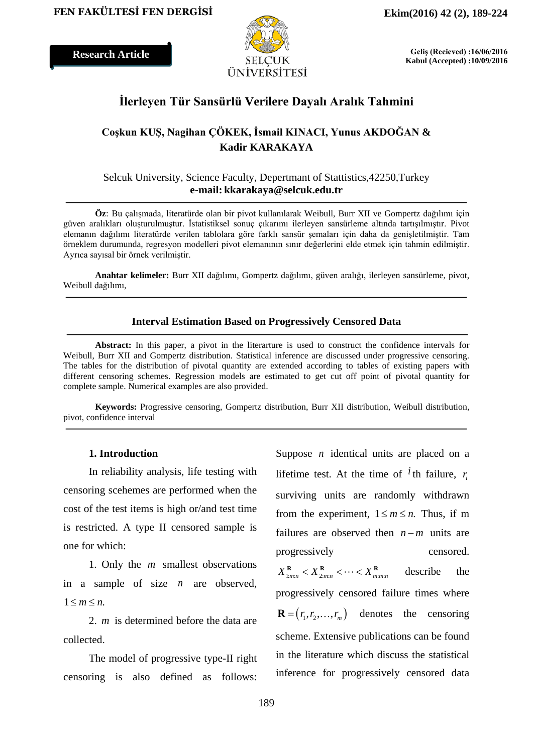**Research Article**



**Geliş (Recieved) :16/06/2016 Kabul (Accepted) :10/09/2016**

## **İlerleyen Tür Sansürlü Verilere Dayalı Aralık Tahmini**

## **Coşkun KUŞ, Nagihan ÇÖKEK, İsmail KINACI, Yunus AKDOĞAN & Kadir KARAKAYA**

### Selcuk University, Science Faculty, Depertmant of Stattistics,42250,Turkey **e-mail: kkarakaya@selcuk.edu.tr**

**Öz**: Bu çalışmada, literatürde olan bir pivot kullanılarak Weibull, Burr XII ve Gompertz dağılımı için güven aralıkları oluşturulmuştur. İstatistiksel sonuç çıkarımı ilerleyen sansürleme altında tartışılmıştır. Pivot elemanın dağılımı literatürde verilen tablolara göre farklı sansür şemaları için daha da genişletilmiştir. Tam örneklem durumunda, regresyon modelleri pivot elemanının sınır değerlerini elde etmek için tahmin edilmiştir. Ayrıca sayısal bir örnek verilmiştir.

**Anahtar kelimeler:** Burr XII dağılımı, Gompertz dağılımı, güven aralığı, ilerleyen sansürleme, pivot, Weibull dağılımı,

#### **Interval Estimation Based on Progressively Censored Data**

**Abstract:** In this paper, a pivot in the literarture is used to construct the confidence intervals for Weibull, Burr XII and Gompertz distribution. Statistical inference are discussed under progressive censoring. The tables for the distribution of pivotal quantity are extended according to tables of existing papers with different censoring schemes. Regression models are estimated to get cut off point of pivotal quantity for complete sample. Numerical examples are also provided.

**Keywords:** Progressive censoring, Gompertz distribution, Burr XII distribution, Weibull distribution, pivot, confidence interval

#### **1. Introduction**

In reliability analysis, life testing with censoring scehemes are performed when the cost of the test items is high or/and test time is restricted. A type II censored sample is one for which:

1. Only the *m* smallest observations in a sample of size *n* are observed,  $1 \leq m \leq n$ .

2. *m* is determined before the data are collected.

The model of progressive type-II right censoring is also defined as follows:

Suppose *n* identical units are placed on a lifetime test. At the time of  $^{i}$  th failure,  $r_i$ surviving units are randomly withdrawn from the experiment,  $1 \le m \le n$ . Thus, if m failures are observed then *n*−*m* units are progressively censored.  $X_{1:m:n}^{\mathbf{R}} < X_{2:m:n}^{\mathbf{R}} < \cdots < X_{m:m:n}^{\mathbf{R}}$  describe the progressively censored failure times where  $\mathbf{R} = (r_1, r_2, \dots, r_m)$  denotes the censoring scheme. Extensive publications can be found in the literature which discuss the statistical inference for progressively censored data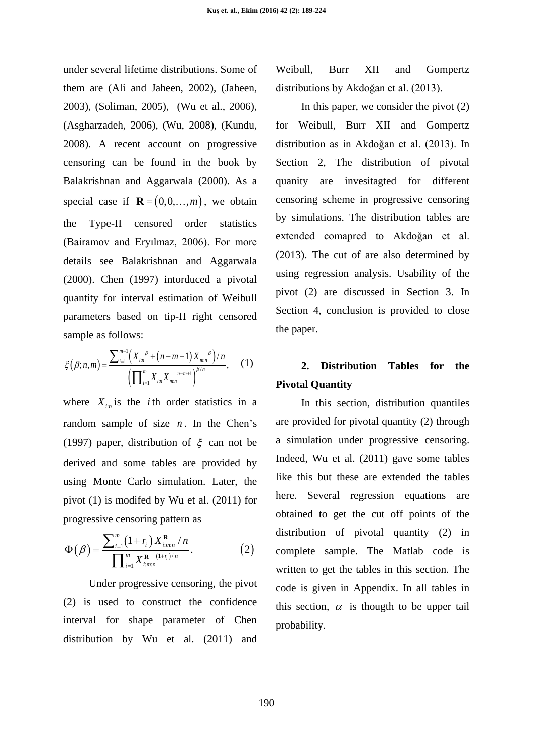under several lifetime distributions. Some of them are (Ali and Jaheen, 2002), (Jaheen, 2003), (Soliman, 2005), (Wu et al., 2006), (Asgharzadeh, 2006), (Wu, 2008), (Kundu, 2008). A recent account on progressive censoring can be found in the book by Balakrishnan and Aggarwala (2000). As a special case if  $\mathbf{R} = (0,0,...,m)$ , we obtain the Type-II censored order statistics (Bairamov and Eryılmaz, 2006). For more details see Balakrishnan and Aggarwala (2000). Chen (1997) intorduced a pivotal quantity for interval estimation of Weibull parameters based on tip-II right censored sample as follows:

$$
\xi(\beta;n,m) = \frac{\sum_{i=1}^{m-1} \left( X_{i:n}^{\beta} + \left( n - m + 1 \right) X_{m:n}^{\beta} \right) / n}{\left( \prod_{i=1}^{m} X_{i:n} X_{m:n}^{\beta} \right)^{\beta/n}}, \quad (1)
$$

where  $X_{i,n}$  is the *i*th order statistics in a random sample of size  $n$ . In the Chen's (1997) paper, distribution of  $\xi$  can not be derived and some tables are provided by using Monte Carlo simulation. Later, the pivot (1) is modifed by Wu et al. (2011) for progressive censoring pattern as

$$
\Phi(\beta) = \frac{\sum_{i=1}^{m} (1+r_i) X_{i,m;n}^{\mathbf{R}} / n}{\prod_{i=1}^{m} X_{i,m;n}^{\mathbf{R}} (1+r_i)/n}.
$$
 (2)

Under progressive censoring, the pivot (2) is used to construct the confidence interval for shape parameter of Chen distribution by Wu et al. (2011) and Weibull, Burr XII and Gompertz distributions by Akdoğan et al. (2013).

In this paper, we consider the pivot  $(2)$ for Weibull, Burr XII and Gompertz distribution as in Akdoğan et al. (2013). In Section 2, The distribution of pivotal quanity are invesitagted for different censoring scheme in progressive censoring by simulations. The distribution tables are extended comapred to Akdoğan et al. (2013). The cut of are also determined by using regression analysis. Usability of the pivot (2) are discussed in Section 3. In Section 4, conclusion is provided to close the paper.

## **2. Distribution Tables for the Pivotal Quantity**

In this section, distribution quantiles are provided for pivotal quantity (2) through a simulation under progressive censoring. Indeed, Wu et al. (2011) gave some tables like this but these are extended the tables here. Several regression equations are obtained to get the cut off points of the distribution of pivotal quantity (2) in complete sample. The Matlab code is written to get the tables in this section. The code is given in Appendix. In all tables in this section,  $\alpha$  is thougth to be upper tail probability.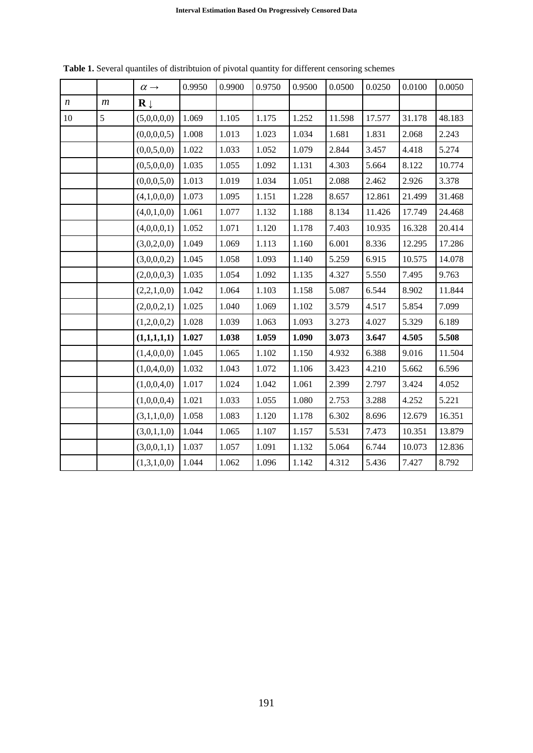|                  |   | $\alpha \rightarrow$    | 0.9950 | 0.9900 | 0.9750 | 0.9500 | 0.0500 | 0.0250 | 0.0100 | 0.0050 |
|------------------|---|-------------------------|--------|--------|--------|--------|--------|--------|--------|--------|
| $\boldsymbol{n}$ | m | $\mathbf{R} \downarrow$ |        |        |        |        |        |        |        |        |
| 10               | 5 | (5,0,0,0,0)             | 1.069  | 1.105  | 1.175  | 1.252  | 11.598 | 17.577 | 31.178 | 48.183 |
|                  |   | (0,0,0,0,5)             | 1.008  | 1.013  | 1.023  | 1.034  | 1.681  | 1.831  | 2.068  | 2.243  |
|                  |   | (0,0,5,0,0)             | 1.022  | 1.033  | 1.052  | 1.079  | 2.844  | 3.457  | 4.418  | 5.274  |
|                  |   | (0,5,0,0,0)             | 1.035  | 1.055  | 1.092  | 1.131  | 4.303  | 5.664  | 8.122  | 10.774 |
|                  |   | (0,0,0,5,0)             | 1.013  | 1.019  | 1.034  | 1.051  | 2.088  | 2.462  | 2.926  | 3.378  |
|                  |   | (4,1,0,0,0)             | 1.073  | 1.095  | 1.151  | 1.228  | 8.657  | 12.861 | 21.499 | 31.468 |
|                  |   | (4,0,1,0,0)             | 1.061  | 1.077  | 1.132  | 1.188  | 8.134  | 11.426 | 17.749 | 24.468 |
|                  |   | (4,0,0,0,1)             | 1.052  | 1.071  | 1.120  | 1.178  | 7.403  | 10.935 | 16.328 | 20.414 |
|                  |   | (3,0,2,0,0)             | 1.049  | 1.069  | 1.113  | 1.160  | 6.001  | 8.336  | 12.295 | 17.286 |
|                  |   | (3,0,0,0,2)             | 1.045  | 1.058  | 1.093  | 1.140  | 5.259  | 6.915  | 10.575 | 14.078 |
|                  |   | (2,0,0,0,3)             | 1.035  | 1.054  | 1.092  | 1.135  | 4.327  | 5.550  | 7.495  | 9.763  |
|                  |   | (2,2,1,0,0)             | 1.042  | 1.064  | 1.103  | 1.158  | 5.087  | 6.544  | 8.902  | 11.844 |
|                  |   | (2,0,0,2,1)             | 1.025  | 1.040  | 1.069  | 1.102  | 3.579  | 4.517  | 5.854  | 7.099  |
|                  |   | (1,2,0,0,2)             | 1.028  | 1.039  | 1.063  | 1.093  | 3.273  | 4.027  | 5.329  | 6.189  |
|                  |   | (1,1,1,1,1)             | 1.027  | 1.038  | 1.059  | 1.090  | 3.073  | 3.647  | 4.505  | 5.508  |
|                  |   | (1,4,0,0,0)             | 1.045  | 1.065  | 1.102  | 1.150  | 4.932  | 6.388  | 9.016  | 11.504 |
|                  |   | (1,0,4,0,0)             | 1.032  | 1.043  | 1.072  | 1.106  | 3.423  | 4.210  | 5.662  | 6.596  |
|                  |   | (1,0,0,4,0)             | 1.017  | 1.024  | 1.042  | 1.061  | 2.399  | 2.797  | 3.424  | 4.052  |
|                  |   | (1,0,0,0,4)             | 1.021  | 1.033  | 1.055  | 1.080  | 2.753  | 3.288  | 4.252  | 5.221  |
|                  |   | (3,1,1,0,0)             | 1.058  | 1.083  | 1.120  | 1.178  | 6.302  | 8.696  | 12.679 | 16.351 |
|                  |   | (3,0,1,1,0)             | 1.044  | 1.065  | 1.107  | 1.157  | 5.531  | 7.473  | 10.351 | 13.879 |
|                  |   | (3,0,0,1,1)             | 1.037  | 1.057  | 1.091  | 1.132  | 5.064  | 6.744  | 10.073 | 12.836 |
|                  |   | (1,3,1,0,0)             | 1.044  | 1.062  | 1.096  | 1.142  | 4.312  | 5.436  | 7.427  | 8.792  |

**Table 1.** Several quantiles of distribtuion of pivotal quantity for different censoring schemes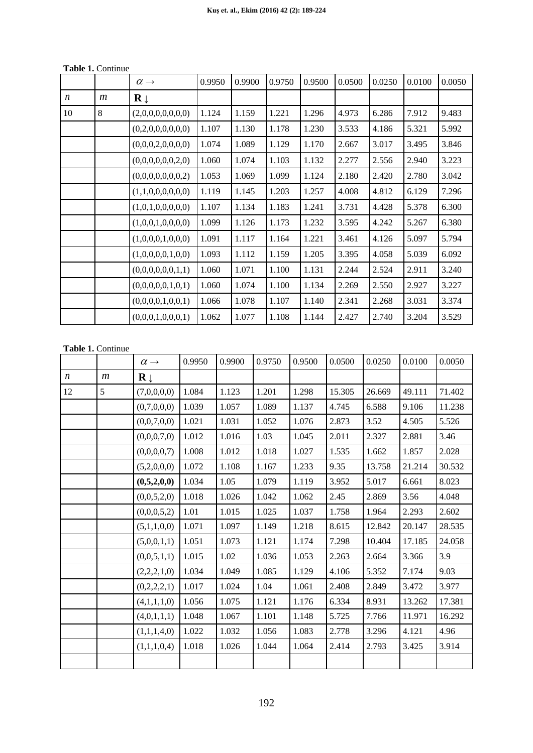|    |                  | $\alpha \rightarrow$    | 0.9950 | 0.9900 | 0.9750 | 0.9500 | 0.0500 | 0.0250 | 0.0100 | 0.0050 |
|----|------------------|-------------------------|--------|--------|--------|--------|--------|--------|--------|--------|
| n  | $\boldsymbol{m}$ | $\mathbf{R} \downarrow$ |        |        |        |        |        |        |        |        |
| 10 | 8                | (2,0,0,0,0,0,0,0)       | 1.124  | 1.159  | 1.221  | 1.296  | 4.973  | 6.286  | 7.912  | 9.483  |
|    |                  | (0,2,0,0,0,0,0,0)       | 1.107  | 1.130  | 1.178  | 1.230  | 3.533  | 4.186  | 5.321  | 5.992  |
|    |                  | (0,0,0,2,0,0,0,0)       | 1.074  | 1.089  | 1.129  | 1.170  | 2.667  | 3.017  | 3.495  | 3.846  |
|    |                  | (0,0,0,0,0,0,2,0)       | 1.060  | 1.074  | 1.103  | 1.132  | 2.277  | 2.556  | 2.940  | 3.223  |
|    |                  | (0,0,0,0,0,0,0,2)       | 1.053  | 1.069  | 1.099  | 1.124  | 2.180  | 2.420  | 2.780  | 3.042  |
|    |                  | (1,1,0,0,0,0,0,0)       | 1.119  | 1.145  | 1.203  | 1.257  | 4.008  | 4.812  | 6.129  | 7.296  |
|    |                  | (1,0,1,0,0,0,0,0)       | 1.107  | 1.134  | 1.183  | 1.241  | 3.731  | 4.428  | 5.378  | 6.300  |
|    |                  | (1,0,0,1,0,0,0,0)       | 1.099  | 1.126  | 1.173  | 1.232  | 3.595  | 4.242  | 5.267  | 6.380  |
|    |                  | (1,0,0,0,1,0,0,0)       | 1.091  | 1.117  | 1.164  | 1.221  | 3.461  | 4.126  | 5.097  | 5.794  |
|    |                  | (1,0,0,0,0,1,0,0)       | 1.093  | 1.112  | 1.159  | 1.205  | 3.395  | 4.058  | 5.039  | 6.092  |
|    |                  | (0,0,0,0,0,0,1,1)       | 1.060  | 1.071  | 1.100  | 1.131  | 2.244  | 2.524  | 2.911  | 3.240  |
|    |                  | (0,0,0,0,0,1,0,1)       | 1.060  | 1.074  | 1.100  | 1.134  | 2.269  | 2.550  | 2.927  | 3.227  |
|    |                  | (0,0,0,0,1,0,0,1)       | 1.066  | 1.078  | 1.107  | 1.140  | 2.341  | 2.268  | 3.031  | 3.374  |
|    |                  | (0,0,0,1,0,0,0,1)       | 1.062  | 1.077  | 1.108  | 1.144  | 2.427  | 2.740  | 3.204  | 3.529  |

#### **Table 1.** Continue

#### **Table 1.** Continue

|                  |                  | $\alpha \rightarrow$    | 0.9950 | 0.9900 | 0.9750 | 0.9500 | 0.0500 | 0.0250 | 0.0100 | 0.0050 |
|------------------|------------------|-------------------------|--------|--------|--------|--------|--------|--------|--------|--------|
| $\boldsymbol{n}$ | $\boldsymbol{m}$ | $\mathbf{R} \downarrow$ |        |        |        |        |        |        |        |        |
| 12               | 5                | (7,0,0,0,0)             | 1.084  | 1.123  | 1.201  | 1.298  | 15.305 | 26.669 | 49.111 | 71.402 |
|                  |                  | (0,7,0,0,0)             | 1.039  | 1.057  | 1.089  | 1.137  | 4.745  | 6.588  | 9.106  | 11.238 |
|                  |                  | (0,0,7,0,0)             | 1.021  | 1.031  | 1.052  | 1.076  | 2.873  | 3.52   | 4.505  | 5.526  |
|                  |                  | (0,0,0,7,0)             | 1.012  | 1.016  | 1.03   | 1.045  | 2.011  | 2.327  | 2.881  | 3.46   |
|                  |                  | (0,0,0,0,7)             | 1.008  | 1.012  | 1.018  | 1.027  | 1.535  | 1.662  | 1.857  | 2.028  |
|                  |                  | (5,2,0,0,0)             | 1.072  | 1.108  | 1.167  | 1.233  | 9.35   | 13.758 | 21.214 | 30.532 |
|                  |                  | (0,5,2,0,0)             | 1.034  | 1.05   | 1.079  | 1.119  | 3.952  | 5.017  | 6.661  | 8.023  |
|                  |                  | (0,0,5,2,0)             | 1.018  | 1.026  | 1.042  | 1.062  | 2.45   | 2.869  | 3.56   | 4.048  |
|                  |                  | (0,0,0,5,2)             | 1.01   | 1.015  | 1.025  | 1.037  | 1.758  | 1.964  | 2.293  | 2.602  |
|                  |                  | (5,1,1,0,0)             | 1.071  | 1.097  | 1.149  | 1.218  | 8.615  | 12.842 | 20.147 | 28.535 |
|                  |                  | (5,0,0,1,1)             | 1.051  | 1.073  | 1.121  | 1.174  | 7.298  | 10.404 | 17.185 | 24.058 |
|                  |                  | (0,0,5,1,1)             | 1.015  | 1.02   | 1.036  | 1.053  | 2.263  | 2.664  | 3.366  | 3.9    |
|                  |                  | (2,2,2,1,0)             | 1.034  | 1.049  | 1.085  | 1.129  | 4.106  | 5.352  | 7.174  | 9.03   |
|                  |                  | (0,2,2,2,1)             | 1.017  | 1.024  | 1.04   | 1.061  | 2.408  | 2.849  | 3.472  | 3.977  |
|                  |                  | (4,1,1,1,0)             | 1.056  | 1.075  | 1.121  | 1.176  | 6.334  | 8.931  | 13.262 | 17.381 |
|                  |                  | (4,0,1,1,1)             | 1.048  | 1.067  | 1.101  | 1.148  | 5.725  | 7.766  | 11.971 | 16.292 |
|                  |                  | (1,1,1,4,0)             | 1.022  | 1.032  | 1.056  | 1.083  | 2.778  | 3.296  | 4.121  | 4.96   |
|                  |                  | (1,1,1,0,4)             | 1.018  | 1.026  | 1.044  | 1.064  | 2.414  | 2.793  | 3.425  | 3.914  |
|                  |                  |                         |        |        |        |        |        |        |        |        |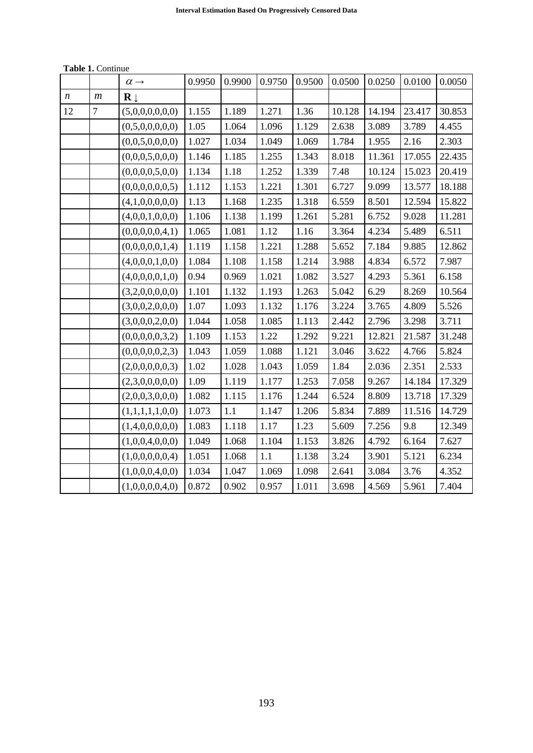|                  |                  | $\alpha \rightarrow$    | 0.9950 | 0.9900 | 0.9750 | 0.9500 | 0.0500 | 0.0250 | 0.0100 | 0.0050 |
|------------------|------------------|-------------------------|--------|--------|--------|--------|--------|--------|--------|--------|
| $\boldsymbol{n}$ | $\boldsymbol{m}$ | $\mathbf{R} \downarrow$ |        |        |        |        |        |        |        |        |
| 12               | $\overline{7}$   | (5,0,0,0,0,0,0)         | 1.155  | 1.189  | 1.271  | 1.36   | 10.128 | 14.194 | 23.417 | 30.853 |
|                  |                  | (0,5,0,0,0,0,0)         | 1.05   | 1.064  | 1.096  | 1.129  | 2.638  | 3.089  | 3.789  | 4.455  |
|                  |                  | (0,0,5,0,0,0,0)         | 1.027  | 1.034  | 1.049  | 1.069  | 1.784  | 1.955  | 2.16   | 2.303  |
|                  |                  | (0,0,0,5,0,0,0)         | 1.146  | 1.185  | 1.255  | 1.343  | 8.018  | 11.361 | 17.055 | 22.435 |
|                  |                  | (0,0,0,0,5,0,0)         | 1.134  | 1.18   | 1.252  | 1.339  | 7.48   | 10.124 | 15.023 | 20.419 |
|                  |                  | (0,0,0,0,0,0,5)         | 1.112  | 1.153  | 1.221  | 1.301  | 6.727  | 9.099  | 13.577 | 18.188 |
|                  |                  | (4,1,0,0,0,0,0)         | 1.13   | 1.168  | 1.235  | 1.318  | 6.559  | 8.501  | 12.594 | 15.822 |
|                  |                  | (4,0,0,1,0,0,0)         | 1.106  | 1.138  | 1.199  | 1.261  | 5.281  | 6.752  | 9.028  | 11.281 |
|                  |                  | (0,0,0,0,0,4,1)         | 1.065  | 1.081  | 1.12   | 1.16   | 3.364  | 4.234  | 5.489  | 6.511  |
|                  |                  | (0,0,0,0,0,1,4)         | 1.119  | 1.158  | 1.221  | 1.288  | 5.652  | 7.184  | 9.885  | 12.862 |
|                  |                  | (4,0,0,0,1,0,0)         | 1.084  | 1.108  | 1.158  | 1.214  | 3.988  | 4.834  | 6.572  | 7.987  |
|                  |                  | (4,0,0,0,0,1,0)         | 0.94   | 0.969  | 1.021  | 1.082  | 3.527  | 4.293  | 5.361  | 6.158  |
|                  |                  | (3,2,0,0,0,0,0)         | 1.101  | 1.132  | 1.193  | 1.263  | 5.042  | 6.29   | 8.269  | 10.564 |
|                  |                  | (3,0,0,2,0,0,0)         | 1.07   | 1.093  | 1.132  | 1.176  | 3.224  | 3.765  | 4.809  | 5.526  |
|                  |                  | (3,0,0,0,2,0,0)         | 1.044  | 1.058  | 1.085  | 1.113  | 2.442  | 2.796  | 3.298  | 3.711  |
|                  |                  | (0,0,0,0,0,3,2)         | 1.109  | 1.153  | 1.22   | 1.292  | 9.221  | 12.821 | 21.587 | 31.248 |
|                  |                  | (0,0,0,0,0,2,3)         | 1.043  | 1.059  | 1.088  | 1.121  | 3.046  | 3.622  | 4.766  | 5.824  |
|                  |                  | (2,0,0,0,0,0,3)         | 1.02   | 1.028  | 1.043  | 1.059  | 1.84   | 2.036  | 2.351  | 2.533  |
|                  |                  | (2,3,0,0,0,0,0)         | 1.09   | 1.119  | 1.177  | 1.253  | 7.058  | 9.267  | 14.184 | 17.329 |
|                  |                  | (2,0,0,3,0,0,0)         | 1.082  | 1.115  | 1.176  | 1.244  | 6.524  | 8.809  | 13.718 | 17.329 |
|                  |                  | (1,1,1,1,1,0,0)         | 1.073  | 1.1    | 1.147  | 1.206  | 5.834  | 7.889  | 11.516 | 14.729 |
|                  |                  | (1,4,0,0,0,0,0)         | 1.083  | 1.118  | 1.17   | 1.23   | 5.609  | 7.256  | 9.8    | 12.349 |
|                  |                  | (1,0,0,4,0,0,0)         | 1.049  | 1.068  | 1.104  | 1.153  | 3.826  | 4.792  | 6.164  | 7.627  |
|                  |                  | (1,0,0,0,0,0,4)         | 1.051  | 1.068  | 1.1    | 1.138  | 3.24   | 3.901  | 5.121  | 6.234  |
|                  |                  | (1,0,0,0,4,0,0)         | 1.034  | 1.047  | 1.069  | 1.098  | 2.641  | 3.084  | 3.76   | 4.352  |
|                  |                  | (1,0,0,0,0,4,0)         | 0.872  | 0.902  | 0.957  | 1.011  | 3.698  | 4.569  | 5.961  | 7.404  |

**Table 1.** Continue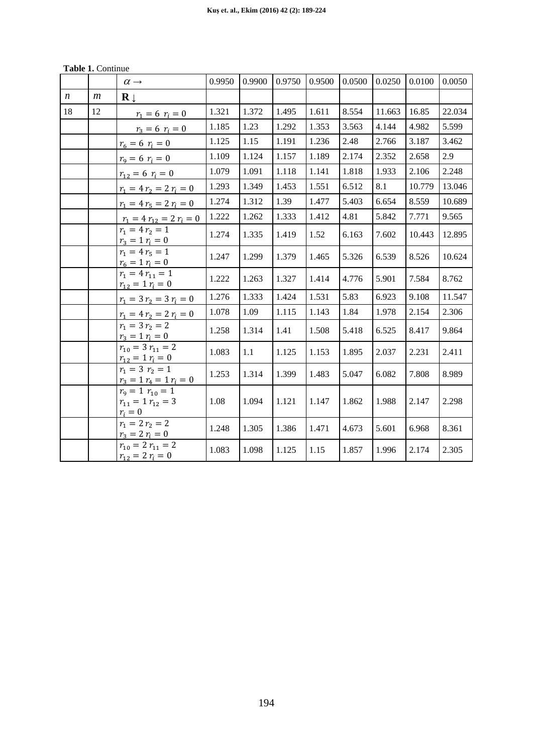| <b>Table 1. Continue</b> |  |
|--------------------------|--|
|--------------------------|--|

|                  |                | $\alpha \rightarrow$                                           | 0.9950 | 0.9900 | 0.9750 | 0.9500 | 0.0500 | 0.0250 | 0.0100 | 0.0050 |
|------------------|----------------|----------------------------------------------------------------|--------|--------|--------|--------|--------|--------|--------|--------|
| $\boldsymbol{n}$ | $\mathfrak{m}$ | $\mathbf{R}$                                                   |        |        |        |        |        |        |        |        |
| 18               | 12             | $r_1 = 6$ $r_i = 0$                                            | 1.321  | 1.372  | 1.495  | 1.611  | 8.554  | 11.663 | 16.85  | 22.034 |
|                  |                | $r_3 = 6$ $r_i = 0$                                            | 1.185  | 1.23   | 1.292  | 1.353  | 3.563  | 4.144  | 4.982  | 5.599  |
|                  |                | $r_6 = 6 r_i = 0$                                              | 1.125  | 1.15   | 1.191  | 1.236  | 2.48   | 2.766  | 3.187  | 3.462  |
|                  |                | $r_9 = 6$ $r_i = 0$                                            | 1.109  | 1.124  | 1.157  | 1.189  | 2.174  | 2.352  | 2.658  | 2.9    |
|                  |                | $r_{12} = 6$ $r_i = 0$                                         | 1.079  | 1.091  | 1.118  | 1.141  | 1.818  | 1.933  | 2.106  | 2.248  |
|                  |                | $r_1 = 4 r_2 = 2 r_i = 0$                                      | 1.293  | 1.349  | 1.453  | 1.551  | 6.512  | 8.1    | 10.779 | 13.046 |
|                  |                | $r_1 = 4 r_5 = 2 r_i = 0$                                      | 1.274  | 1.312  | 1.39   | 1.477  | 5.403  | 6.654  | 8.559  | 10.689 |
|                  |                | $r_1 = 4 r_{12} = 2 r_i = 0$                                   | 1.222  | 1.262  | 1.333  | 1.412  | 4.81   | 5.842  | 7.771  | 9.565  |
|                  |                | $r_1 = 4 r_2 = 1$<br>$r_3 = 1 r_i = 0$                         | 1.274  | 1.335  | 1.419  | 1.52   | 6.163  | 7.602  | 10.443 | 12.895 |
|                  |                | $r_1 = 4 r_5 = 1$<br>$r_6 = 1 r_i = 0$                         | 1.247  | 1.299  | 1.379  | 1.465  | 5.326  | 6.539  | 8.526  | 10.624 |
|                  |                | $r_1 = 4 r_{11} = 1$<br>$r_{12} = 1 r_i = 0$                   | 1.222  | 1.263  | 1.327  | 1.414  | 4.776  | 5.901  | 7.584  | 8.762  |
|                  |                | $r_1 = 3 r_2 = 3 r_i = 0$                                      | 1.276  | 1.333  | 1.424  | 1.531  | 5.83   | 6.923  | 9.108  | 11.547 |
|                  |                | $r_1 = 4 r_2 = 2 r_i = 0$                                      | 1.078  | 1.09   | 1.115  | 1.143  | 1.84   | 1.978  | 2.154  | 2.306  |
|                  |                | $r_1 = 3 r_2 = 2$<br>$r_3 = 1 r_i = 0$                         | 1.258  | 1.314  | 1.41   | 1.508  | 5.418  | 6.525  | 8.417  | 9.864  |
|                  |                | $r_{10} = 3 r_{11} = 2$<br>$r_{12} = 1 r_i = 0$                | 1.083  | 1.1    | 1.125  | 1.153  | 1.895  | 2.037  | 2.231  | 2.411  |
|                  |                | $r_1 = 3$ $r_2 = 1$<br>$r_3 = 1 r_4 = 1 r_i = 0$               | 1.253  | 1.314  | 1.399  | 1.483  | 5.047  | 6.082  | 7.808  | 8.989  |
|                  |                | $r_9 = 1$ $r_{10} = 1$<br>$r_{11} = 1 r_{12} = 3$<br>$r_i = 0$ | 1.08   | 1.094  | 1.121  | 1.147  | 1.862  | 1.988  | 2.147  | 2.298  |
|                  |                | $r_1 = 2 r_2 = 2$<br>$r_3 = 2 r_i = 0$                         | 1.248  | 1.305  | 1.386  | 1.471  | 4.673  | 5.601  | 6.968  | 8.361  |
|                  |                | $r_{10} = 2 r_{11} = 2$<br>$r_{12} = 2 r_i = 0$                | 1.083  | 1.098  | 1.125  | 1.15   | 1.857  | 1.996  | 2.174  | 2.305  |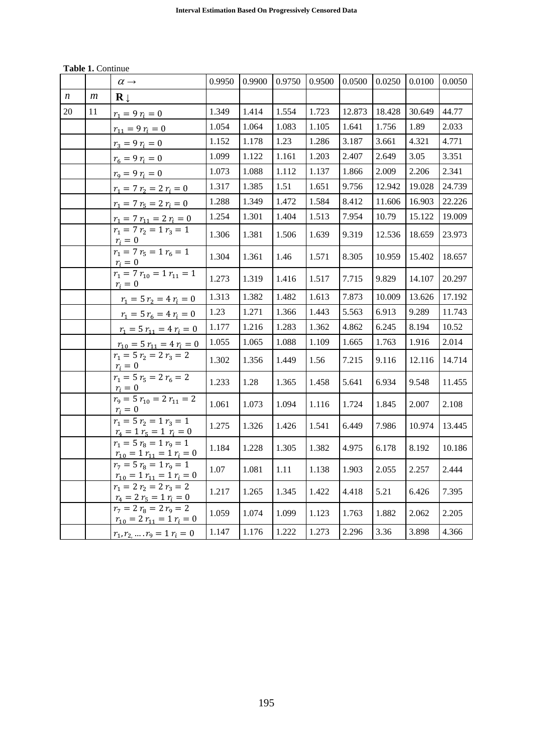| <b>Table 1. Continue</b> |  |
|--------------------------|--|
|--------------------------|--|

|                  |                | $\alpha \rightarrow$                                                    | 0.9950 | 0.9900 | 0.9750 | 0.9500 | 0.0500 | 0.0250 | 0.0100 | 0.0050 |
|------------------|----------------|-------------------------------------------------------------------------|--------|--------|--------|--------|--------|--------|--------|--------|
| $\boldsymbol{n}$ | $\mathfrak{m}$ | $\mathbf{R} \downarrow$                                                 |        |        |        |        |        |        |        |        |
| 20               | 11             | $r_1 = 9 r_i = 0$                                                       | 1.349  | 1.414  | 1.554  | 1.723  | 12.873 | 18.428 | 30.649 | 44.77  |
|                  |                | $r_{11} = 9 r_i = 0$                                                    | 1.054  | 1.064  | 1.083  | 1.105  | 1.641  | 1.756  | 1.89   | 2.033  |
|                  |                | $r_3 = 9 r_i = 0$                                                       | 1.152  | 1.178  | 1.23   | 1.286  | 3.187  | 3.661  | 4.321  | 4.771  |
|                  |                | $r_6 = 9 r_i = 0$                                                       | 1.099  | 1.122  | 1.161  | 1.203  | 2.407  | 2.649  | 3.05   | 3.351  |
|                  |                | $r_9 = 9 r_i = 0$                                                       | 1.073  | 1.088  | 1.112  | 1.137  | 1.866  | 2.009  | 2.206  | 2.341  |
|                  |                | $r_1 = 7 r_2 = 2 r_i = 0$                                               | 1.317  | 1.385  | 1.51   | 1.651  | 9.756  | 12.942 | 19.028 | 24.739 |
|                  |                | $r_1 = 7 r_5 = 2 r_i = 0$                                               | 1.288  | 1.349  | 1.472  | 1.584  | 8.412  | 11.606 | 16.903 | 22.226 |
|                  |                | $r_1 = 7 r_{11} = 2 r_i = 0$                                            | 1.254  | 1.301  | 1.404  | 1.513  | 7.954  | 10.79  | 15.122 | 19.009 |
|                  |                | $r_1 = 7 r_2 = 1 r_3 = 1$<br>$r_i=0$                                    | 1.306  | 1.381  | 1.506  | 1.639  | 9.319  | 12.536 | 18.659 | 23.973 |
|                  |                | $r_1 = 7 r_5 = 1 r_6 = 1$<br>$r_i=0$                                    | 1.304  | 1.361  | 1.46   | 1.571  | 8.305  | 10.959 | 15.402 | 18.657 |
|                  |                | $r_1 = 7 r_{10} = 1 r_{11} = 1$<br>$r_i = 0$                            | 1.273  | 1.319  | 1.416  | 1.517  | 7.715  | 9.829  | 14.107 | 20.297 |
|                  |                | $r_1 = 5 r_2 = 4 r_i = 0$                                               | 1.313  | 1.382  | 1.482  | 1.613  | 7.873  | 10.009 | 13.626 | 17.192 |
|                  |                | $r_1 = 5 r_6 = 4 r_i = 0$                                               | 1.23   | 1.271  | 1.366  | 1.443  | 5.563  | 6.913  | 9.289  | 11.743 |
|                  |                | $r_1 = 5 r_{11} = 4 r_i = 0$                                            | 1.177  | 1.216  | 1.283  | 1.362  | 4.862  | 6.245  | 8.194  | 10.52  |
|                  |                | $r_{10} = 5 r_{11} = 4 r_i = 0$                                         | 1.055  | 1.065  | 1.088  | 1.109  | 1.665  | 1.763  | 1.916  | 2.014  |
|                  |                | $r_1 = 5 r_2 = 2 r_3 = 2$<br>$r_i = 0$                                  | 1.302  | 1.356  | 1.449  | 1.56   | 7.215  | 9.116  | 12.116 | 14.714 |
|                  |                | $r_1 = 5 r_5 = 2 r_6 = 2$<br>$r_i=0$                                    | 1.233  | 1.28   | 1.365  | 1.458  | 5.641  | 6.934  | 9.548  | 11.455 |
|                  |                | $r_9 = 5 r_{10} = 2 r_{11} = 2$<br>$r_i = 0$                            | 1.061  | 1.073  | 1.094  | 1.116  | 1.724  | 1.845  | 2.007  | 2.108  |
|                  |                | $\overline{r_1} = 5 \, r_2 = 1 \, r_3 = 1$<br>$r_4 = 1 r_5 = 1 r_i = 0$ | 1.275  | 1.326  | 1.426  | 1.541  | 6.449  | 7.986  | 10.974 | 13.445 |
|                  |                | $r_1 = 5 r_8 = 1 r_9 = 1$<br>$r_{10} = 1 r_{11} = 1 r_i = 0$            | 1.184  | 1.228  | 1.305  | 1.382  | 4.975  | 6.178  | 8.192  | 10.186 |
|                  |                | $r_7 = 5 r_8 = 1 r_9 = 1$<br>$r_{10} = 1 r_{11} = 1 r_i = 0$            | 1.07   | 1.081  | 1.11   | 1.138  | 1.903  | 2.055  | 2.257  | 2.444  |
|                  |                | $r_1 = 2 r_2 = 2 \overline{r_3} = 2$<br>$r_4 = 2 r_5 = 1 r_i = 0$       | 1.217  | 1.265  | 1.345  | 1.422  | 4.418  | 5.21   | 6.426  | 7.395  |
|                  |                | $r_7 = 2 r_8 = 2 r_9 = 2$<br>$r_{10} = 2 r_{11} = 1 r_i = 0$            | 1.059  | 1.074  | 1.099  | 1.123  | 1.763  | 1.882  | 2.062  | 2.205  |
|                  |                | $r_1, r_2, , r_9 = 1 r_i = 0$                                           | 1.147  | 1.176  | 1.222  | 1.273  | 2.296  | 3.36   | 3.898  | 4.366  |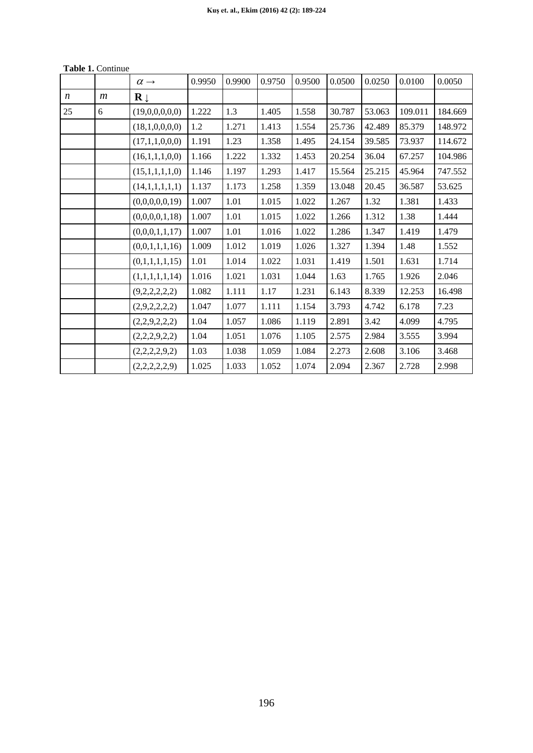|                  |                  | $\alpha \rightarrow$    | 0.9950 | 0.9900 | 0.9750 | 0.9500 | 0.0500 | 0.0250 | 0.0100  | 0.0050  |
|------------------|------------------|-------------------------|--------|--------|--------|--------|--------|--------|---------|---------|
| $\boldsymbol{n}$ | $\boldsymbol{m}$ | $\mathbf{R} \downarrow$ |        |        |        |        |        |        |         |         |
| 25               | 6                | (19,0,0,0,0,0)          | 1.222  | 1.3    | 1.405  | 1.558  | 30.787 | 53.063 | 109.011 | 184.669 |
|                  |                  | (18,1,0,0,0,0)          | 1.2    | 1.271  | 1.413  | 1.554  | 25.736 | 42.489 | 85.379  | 148.972 |
|                  |                  | (17,1,1,0,0,0)          | 1.191  | 1.23   | 1.358  | 1.495  | 24.154 | 39.585 | 73.937  | 114.672 |
|                  |                  | (16,1,1,1,0,0)          | 1.166  | 1.222  | 1.332  | 1.453  | 20.254 | 36.04  | 67.257  | 104.986 |
|                  |                  | (15,1,1,1,1,0)          | 1.146  | 1.197  | 1.293  | 1.417  | 15.564 | 25.215 | 45.964  | 747.552 |
|                  |                  | (14,1,1,1,1,1)          | 1.137  | 1.173  | 1.258  | 1.359  | 13.048 | 20.45  | 36.587  | 53.625  |
|                  |                  | (0,0,0,0,0,19)          | 1.007  | 1.01   | 1.015  | 1.022  | 1.267  | 1.32   | 1.381   | 1.433   |
|                  |                  | (0,0,0,0,1,18)          | 1.007  | 1.01   | 1.015  | 1.022  | 1.266  | 1.312  | 1.38    | 1.444   |
|                  |                  | (0,0,0,1,1,17)          | 1.007  | 1.01   | 1.016  | 1.022  | 1.286  | 1.347  | 1.419   | 1.479   |
|                  |                  | (0,0,1,1,1,16)          | 1.009  | 1.012  | 1.019  | 1.026  | 1.327  | 1.394  | 1.48    | 1.552   |
|                  |                  | (0,1,1,1,1,15)          | 1.01   | 1.014  | 1.022  | 1.031  | 1.419  | 1.501  | 1.631   | 1.714   |
|                  |                  | (1,1,1,1,1,14)          | 1.016  | 1.021  | 1.031  | 1.044  | 1.63   | 1.765  | 1.926   | 2.046   |
|                  |                  | (9,2,2,2,2,2)           | 1.082  | 1.111  | 1.17   | 1.231  | 6.143  | 8.339  | 12.253  | 16.498  |
|                  |                  | (2,9,2,2,2,2)           | 1.047  | 1.077  | 1.111  | 1.154  | 3.793  | 4.742  | 6.178   | 7.23    |
|                  |                  | (2,2,9,2,2,2)           | 1.04   | 1.057  | 1.086  | 1.119  | 2.891  | 3.42   | 4.099   | 4.795   |
|                  |                  | (2,2,2,9,2,2)           | 1.04   | 1.051  | 1.076  | 1.105  | 2.575  | 2.984  | 3.555   | 3.994   |
|                  |                  | (2,2,2,2,9,2)           | 1.03   | 1.038  | 1.059  | 1.084  | 2.273  | 2.608  | 3.106   | 3.468   |
|                  |                  | (2,2,2,2,2,9)           | 1.025  | 1.033  | 1.052  | 1.074  | 2.094  | 2.367  | 2.728   | 2.998   |

**Table 1.** Continue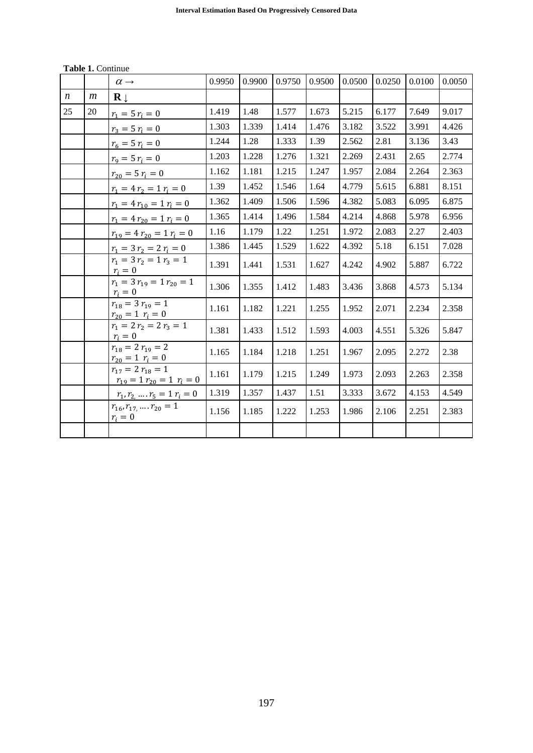|                  |                  | $\alpha \rightarrow$                                       | 0.9950 | 0.9900 | 0.9750 | 0.9500 | 0.0500 | 0.0250 | 0.0100 | 0.0050 |
|------------------|------------------|------------------------------------------------------------|--------|--------|--------|--------|--------|--------|--------|--------|
| $\boldsymbol{n}$ | $\boldsymbol{m}$ | $\mathbf{R} \downarrow$                                    |        |        |        |        |        |        |        |        |
| 25               | 20               | $r_1 = 5 r_i = 0$                                          | 1.419  | 1.48   | 1.577  | 1.673  | 5.215  | 6.177  | 7.649  | 9.017  |
|                  |                  | $r_3 = 5 r_i = 0$                                          | 1.303  | 1.339  | 1.414  | 1.476  | 3.182  | 3.522  | 3.991  | 4.426  |
|                  |                  | $r_6 = 5 r_i = 0$                                          | 1.244  | 1.28   | 1.333  | 1.39   | 2.562  | 2.81   | 3.136  | 3.43   |
|                  |                  | $r_9 = 5 r_i = 0$                                          | 1.203  | 1.228  | 1.276  | 1.321  | 2.269  | 2.431  | 2.65   | 2.774  |
|                  |                  | $r_{20} = 5 r_i = 0$                                       | 1.162  | 1.181  | 1.215  | 1.247  | 1.957  | 2.084  | 2.264  | 2.363  |
|                  |                  | $r_1 = 4 r_2 = 1 r_i = 0$                                  | 1.39   | 1.452  | 1.546  | 1.64   | 4.779  | 5.615  | 6.881  | 8.151  |
|                  |                  | $r_1 = 4 r_{10} = 1 r_i = 0$                               | 1.362  | 1.409  | 1.506  | 1.596  | 4.382  | 5.083  | 6.095  | 6.875  |
|                  |                  | $r_1 = 4 r_{20} = 1 r_i = 0$                               | 1.365  | 1.414  | 1.496  | 1.584  | 4.214  | 4.868  | 5.978  | 6.956  |
|                  |                  | $r_{19} = 4 r_{20} = 1 r_i = 0$                            | 1.16   | 1.179  | 1.22   | 1.251  | 1.972  | 2.083  | 2.27   | 2.403  |
|                  |                  | $r_1 = 3 r_2 = 2 r_i = 0$                                  | 1.386  | 1.445  | 1.529  | 1.622  | 4.392  | 5.18   | 6.151  | 7.028  |
|                  |                  | $r_1 = 3 r_2 = 1 r_3 = 1$<br>$r_i=0$                       | 1.391  | 1.441  | 1.531  | 1.627  | 4.242  | 4.902  | 5.887  | 6.722  |
|                  |                  | $r_1 = 3 r_{19} = 1 r_{20} = 1$<br>$r_i=0$                 | 1.306  | 1.355  | 1.412  | 1.483  | 3.436  | 3.868  | 4.573  | 5.134  |
|                  |                  | $r_{18} = 3 r_{19} = 1$<br>$r_{20} = 1$ $r_i = 0$          | 1.161  | 1.182  | 1.221  | 1.255  | 1.952  | 2.071  | 2.234  | 2.358  |
|                  |                  | $r_1 = 2 r_2 = 2 r_3 = 1$<br>$r_i=0$                       | 1.381  | 1.433  | 1.512  | 1.593  | 4.003  | 4.551  | 5.326  | 5.847  |
|                  |                  | $r_{18} = 2 r_{19} = 2$<br>$r_{20} = 1$ $r_i = 0$          | 1.165  | 1.184  | 1.218  | 1.251  | 1.967  | 2.095  | 2.272  | 2.38   |
|                  |                  | $r_{17} = 2 r_{18} = 1$<br>$r_{19} = 1 r_{20} = 1 r_i = 0$ | 1.161  | 1.179  | 1.215  | 1.249  | 1.973  | 2.093  | 2.263  | 2.358  |
|                  |                  | $r_1, r_2, , r_5 = 1 r_i = 0$                              | 1.319  | 1.357  | 1.437  | 1.51   | 3.333  | 3.672  | 4.153  | 4.549  |
|                  |                  | $r_{16}, r_{17}, \ldots, r_{20} = 1$<br>$r_i=0$            | 1.156  | 1.185  | 1.222  | 1.253  | 1.986  | 2.106  | 2.251  | 2.383  |
|                  |                  |                                                            |        |        |        |        |        |        |        |        |

**Table 1.** Continue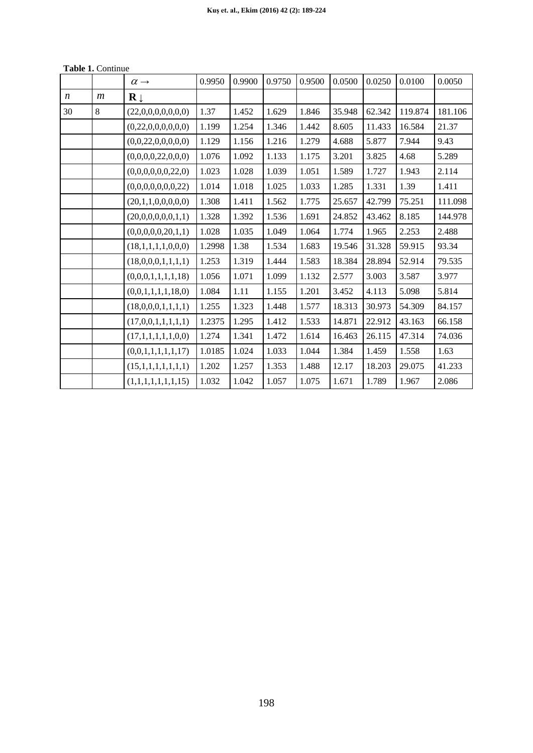|                  |                  | $\alpha \rightarrow$    | 0.9950 | 0.9900 | 0.9750 | 0.9500 | 0.0500 | 0.0250 | 0.0100  | 0.0050  |
|------------------|------------------|-------------------------|--------|--------|--------|--------|--------|--------|---------|---------|
| $\boldsymbol{n}$ | $\boldsymbol{m}$ | $\mathbf{R} \downarrow$ |        |        |        |        |        |        |         |         |
| 30               | $8\,$            | (22,0,0,0,0,0,0,0)      | 1.37   | 1.452  | 1.629  | 1.846  | 35.948 | 62.342 | 119.874 | 181.106 |
|                  |                  | (0,22,0,0,0,0,0,0)      | 1.199  | 1.254  | 1.346  | 1.442  | 8.605  | 11.433 | 16.584  | 21.37   |
|                  |                  | (0,0,22,0,0,0,0,0)      | 1.129  | 1.156  | 1.216  | 1.279  | 4.688  | 5.877  | 7.944   | 9.43    |
|                  |                  | (0,0,0,0,22,0,0,0)      | 1.076  | 1.092  | 1.133  | 1.175  | 3.201  | 3.825  | 4.68    | 5.289   |
|                  |                  | (0,0,0,0,0,0,22,0)      | 1.023  | 1.028  | 1.039  | 1.051  | 1.589  | 1.727  | 1.943   | 2.114   |
|                  |                  | (0,0,0,0,0,0,0,22)      | 1.014  | 1.018  | 1.025  | 1.033  | 1.285  | 1.331  | 1.39    | 1.411   |
|                  |                  | (20,1,1,0,0,0,0,0)      | 1.308  | 1.411  | 1.562  | 1.775  | 25.657 | 42.799 | 75.251  | 111.098 |
|                  |                  | (20,0,0,0,0,0,1,1)      | 1.328  | 1.392  | 1.536  | 1.691  | 24.852 | 43.462 | 8.185   | 144.978 |
|                  |                  | (0,0,0,0,0,20,1,1)      | 1.028  | 1.035  | 1.049  | 1.064  | 1.774  | 1.965  | 2.253   | 2.488   |
|                  |                  | (18,1,1,1,1,0,0,0)      | 1.2998 | 1.38   | 1.534  | 1.683  | 19.546 | 31.328 | 59.915  | 93.34   |
|                  |                  | (18,0,0,0,1,1,1,1)      | 1.253  | 1.319  | 1.444  | 1.583  | 18.384 | 28.894 | 52.914  | 79.535  |
|                  |                  | (0,0,0,1,1,1,1,18)      | 1.056  | 1.071  | 1.099  | 1.132  | 2.577  | 3.003  | 3.587   | 3.977   |
|                  |                  | (0,0,1,1,1,1,18,0)      | 1.084  | 1.11   | 1.155  | 1.201  | 3.452  | 4.113  | 5.098   | 5.814   |
|                  |                  | (18,0,0,0,1,1,1,1)      | 1.255  | 1.323  | 1.448  | 1.577  | 18.313 | 30.973 | 54.309  | 84.157  |
|                  |                  | (17,0,0,1,1,1,1,1)      | 1.2375 | 1.295  | 1.412  | 1.533  | 14.871 | 22.912 | 43.163  | 66.158  |
|                  |                  | (17,1,1,1,1,1,0,0)      | 1.274  | 1.341  | 1.472  | 1.614  | 16.463 | 26.115 | 47.314  | 74.036  |
|                  |                  | (0,0,1,1,1,1,1,17)      | 1.0185 | 1.024  | 1.033  | 1.044  | 1.384  | 1.459  | 1.558   | 1.63    |
|                  |                  | (15,1,1,1,1,1,1,1)      | 1.202  | 1.257  | 1.353  | 1.488  | 12.17  | 18.203 | 29.075  | 41.233  |
|                  |                  | (1,1,1,1,1,1,1,15)      | 1.032  | 1.042  | 1.057  | 1.075  | 1.671  | 1.789  | 1.967   | 2.086   |

**Table 1.** Continue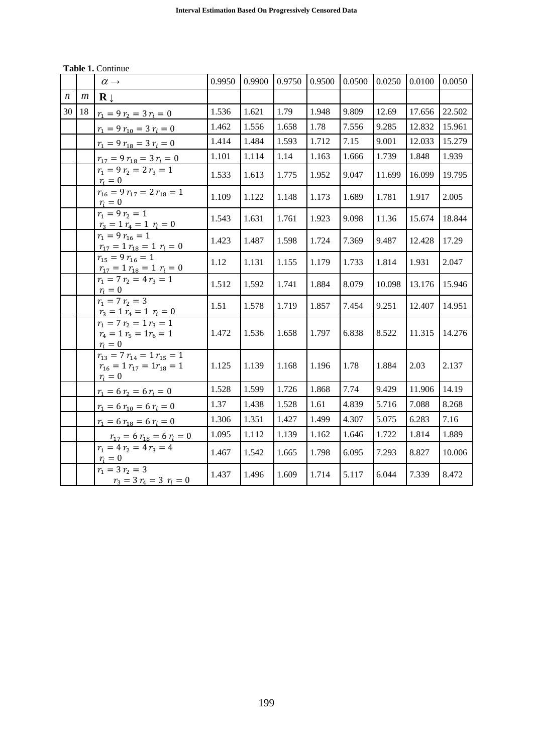|                  |                  | $\alpha \rightarrow$                                                                    | 0.9950 | 0.9900 | 0.9750 | 0.9500 | 0.0500 | 0.0250 | 0.0100 | 0.0050 |
|------------------|------------------|-----------------------------------------------------------------------------------------|--------|--------|--------|--------|--------|--------|--------|--------|
| $\boldsymbol{n}$ | $\boldsymbol{m}$ | $\mathbf{R} \perp$                                                                      |        |        |        |        |        |        |        |        |
| 30               | 18               | $r_1 = 9 r_2 = 3 r_i = 0$                                                               | 1.536  | 1.621  | 1.79   | 1.948  | 9.809  | 12.69  | 17.656 | 22.502 |
|                  |                  | $r_1 = 9 r_{10} = 3 r_i = 0$                                                            | 1.462  | 1.556  | 1.658  | 1.78   | 7.556  | 9.285  | 12.832 | 15.961 |
|                  |                  | $r_1 = 9 r_{18} = 3 r_i = 0$                                                            | 1.414  | 1.484  | 1.593  | 1.712  | 7.15   | 9.001  | 12.033 | 15.279 |
|                  |                  | $r_{17} = 9 r_{18} = 3 r_i = 0$                                                         | 1.101  | 1.114  | 1.14   | 1.163  | 1.666  | 1.739  | 1.848  | 1.939  |
|                  |                  | $r_1 = 9 r_2 = 2 r_3 = 1$<br>$r_i=0$                                                    | 1.533  | 1.613  | 1.775  | 1.952  | 9.047  | 11.699 | 16.099 | 19.795 |
|                  |                  | $r_{16} = 9 r_{17} = 2 r_{18} = 1$<br>$r_i = 0$                                         | 1.109  | 1.122  | 1.148  | 1.173  | 1.689  | 1.781  | 1.917  | 2.005  |
|                  |                  | $r_1 = 9 r_2 = 1$                                                                       | 1.543  | 1.631  | 1.761  | 1.923  | 9.098  | 11.36  | 15.674 | 18.844 |
|                  |                  | $\frac{r_3 = 1 r_4 = 1 r_i = 0}{r_1 = 9 r_{16} = 1}$<br>$r_{17} = 1 r_{18} = 1 r_i = 0$ | 1.423  | 1.487  | 1.598  | 1.724  | 7.369  | 9.487  | 12.428 | 17.29  |
|                  |                  | $r_{15} = 9 r_{16} = 1$<br>$r_{17} = 1 r_{18} = 1 r_i = 0$                              | 1.12   | 1.131  | 1.155  | 1.179  | 1.733  | 1.814  | 1.931  | 2.047  |
|                  |                  | $r_1 = 7 r_2 = 4 r_3 = 1$<br>$r_i=0$                                                    | 1.512  | 1.592  | 1.741  | 1.884  | 8.079  | 10.098 | 13.176 | 15.946 |
|                  |                  | $r_1 = 7 r_2 = 3$<br>$r_3 = 1 r_4 = 1 r_i = 0$                                          | 1.51   | 1.578  | 1.719  | 1.857  | 7.454  | 9.251  | 12.407 | 14.951 |
|                  |                  | $r_1 = 7 r_2 = 1 r_3 = 1$<br>$r_4 = 1 r_5 = 1 r_6 = 1$<br>$r_i=0$                       | 1.472  | 1.536  | 1.658  | 1.797  | 6.838  | 8.522  | 11.315 | 14.276 |
|                  |                  | $r_{13} = 7 r_{14} = 1 r_{15} = 1$<br>$r_{16} = 1 r_{17} = 1 r_{18} = 1$<br>$r_i=0$     | 1.125  | 1.139  | 1.168  | 1.196  | 1.78   | 1.884  | 2.03   | 2.137  |
|                  |                  | $r_1 = 6 r_2 = 6 r_i = 0$                                                               | 1.528  | 1.599  | 1.726  | 1.868  | 7.74   | 9.429  | 11.906 | 14.19  |
|                  |                  | $r_1 = 6 r_{10} = 6 r_i = 0$                                                            | 1.37   | 1.438  | 1.528  | 1.61   | 4.839  | 5.716  | 7.088  | 8.268  |
|                  |                  | $r_1 = 6 r_{18} = 6 r_i = 0$                                                            | 1.306  | 1.351  | 1.427  | 1.499  | 4.307  | 5.075  | 6.283  | 7.16   |
|                  |                  | $r_{17} = 6 r_{18} = 6 r_i = 0$                                                         | 1.095  | 1.112  | 1.139  | 1.162  | 1.646  | 1.722  | 1.814  | 1.889  |
|                  |                  | $r_1 = 4 r_2 = 4 r_3 = 4$<br>$r_i = 0$                                                  | 1.467  | 1.542  | 1.665  | 1.798  | 6.095  | 7.293  | 8.827  | 10.006 |
|                  |                  | $r_1 = 3 r_2 = 3$<br>$r_3 = 3 r_4 = 3 r_i = 0$                                          | 1.437  | 1.496  | 1.609  | 1.714  | 5.117  | 6.044  | 7.339  | 8.472  |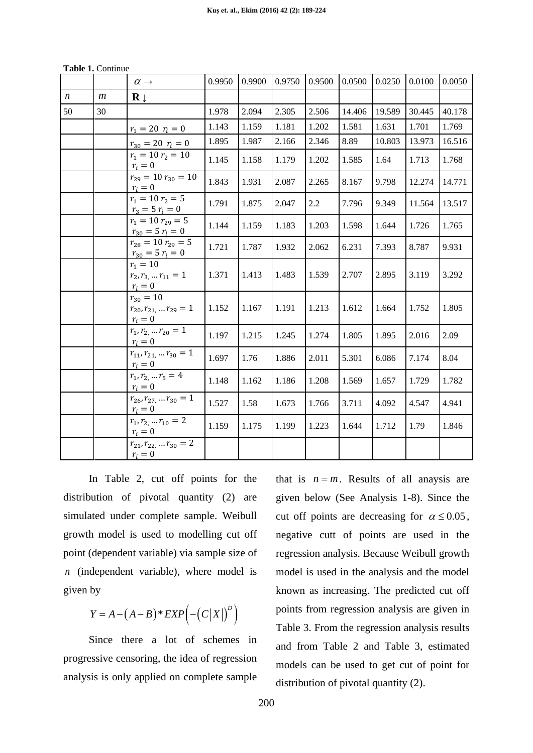|  | <b>Table 1. Continue</b> |
|--|--------------------------|
|  |                          |

|                  |    | $\alpha \rightarrow$                                              | 0.9950 | 0.9900 | 0.9750 | 0.9500 | 0.0500 | 0.0250 | 0.0100 | 0.0050 |
|------------------|----|-------------------------------------------------------------------|--------|--------|--------|--------|--------|--------|--------|--------|
| $\boldsymbol{n}$ | m  | $\mathbf{R} \downarrow$                                           |        |        |        |        |        |        |        |        |
| 50               | 30 |                                                                   | 1.978  | 2.094  | 2.305  | 2.506  | 14.406 | 19.589 | 30.445 | 40.178 |
|                  |    | $r_1 = 20 r_i = 0$                                                | 1.143  | 1.159  | 1.181  | 1.202  | 1.581  | 1.631  | 1.701  | 1.769  |
|                  |    | $r_{30} = 20 r_i = 0$                                             | 1.895  | 1.987  | 2.166  | 2.346  | 8.89   | 10.803 | 13.973 | 16.516 |
|                  |    | $r_1 = 10 r_2 = 10$<br>$r_i = 0$                                  | 1.145  | 1.158  | 1.179  | 1.202  | 1.585  | 1.64   | 1.713  | 1.768  |
|                  |    | $r_{29} = 10 r_{30} = 10$<br>$r_i=0$                              | 1.843  | 1.931  | 2.087  | 2.265  | 8.167  | 9.798  | 12.274 | 14.771 |
|                  |    | $r_1 = 10 r_2 = 5$<br>$r_3 = 5 r_i = 0$                           | 1.791  | 1.875  | 2.047  | 2.2    | 7.796  | 9.349  | 11.564 | 13.517 |
|                  |    | $r_1 = 10 r_{29} = 5$<br>$r_{30} = 5 r_i = 0$                     | 1.144  | 1.159  | 1.183  | 1.203  | 1.598  | 1.644  | 1.726  | 1.765  |
|                  |    | $r_{28} = 10 r_{29} = 5$<br>$r_{30} = 5 r_i = 0$                  | 1.721  | 1.787  | 1.932  | 2.062  | 6.231  | 7.393  | 8.787  | 9.931  |
|                  |    | $r_1 = 10$<br>$r_2, r_3, \ldots r_{11} = 1$<br>$r_i=0$            | 1.371  | 1.413  | 1.483  | 1.539  | 2.707  | 2.895  | 3.119  | 3.292  |
|                  |    | $r_{30} = 10$<br>$r_{20}, r_{21}, \ldots r_{29} = 1$<br>$r_i = 0$ | 1.152  | 1.167  | 1.191  | 1.213  | 1.612  | 1.664  | 1.752  | 1.805  |
|                  |    | $r_1, r_2, \ldots r_{20} = 1$<br>$r_i = 0$                        | 1.197  | 1.215  | 1.245  | 1.274  | 1.805  | 1.895  | 2.016  | 2.09   |
|                  |    | $r_{11}, r_{21}, \ldots r_{30} = 1$<br>$r_i=0$                    | 1.697  | 1.76   | 1.886  | 2.011  | 5.301  | 6.086  | 7.174  | 8.04   |
|                  |    | $r_1, r_2, \ldots r_5 = 4$<br>$r_i = 0$                           | 1.148  | 1.162  | 1.186  | 1.208  | 1.569  | 1.657  | 1.729  | 1.782  |
|                  |    | $r_{26}, r_{27}, \ldots r_{30} = 1$<br>$r_i = 0$                  | 1.527  | 1.58   | 1.673  | 1.766  | 3.711  | 4.092  | 4.547  | 4.941  |
|                  |    | $r_1, r_2, \ldots r_{10} = 2$<br>$r_i = 0$                        | 1.159  | 1.175  | 1.199  | 1.223  | 1.644  | 1.712  | 1.79   | 1.846  |
|                  |    | $r_{21}, r_{22}, \ldots r_{30} = 2$<br>$r_i=0$                    |        |        |        |        |        |        |        |        |

In Table 2, cut off points for the distribution of pivotal quantity (2) are simulated under complete sample. Weibull growth model is used to modelling cut off point (dependent variable) via sample size of *n* (independent variable), where model is given by

$$
Y = A - (A - B) * EXP(- (C|X|)^{D})
$$

Since there a lot of schemes in progressive censoring, the idea of regression analysis is only applied on complete sample that is  $n = m$ . Results of all anaysis are given below (See Analysis 1-8). Since the cut off points are decreasing for  $\alpha \le 0.05$ , negative cutt of points are used in the regression analysis. Because Weibull growth model is used in the analysis and the model known as increasing. The predicted cut off points from regression analysis are given in Table 3. From the regression analysis results and from Table 2 and Table 3, estimated models can be used to get cut of point for distribution of pivotal quantity (2).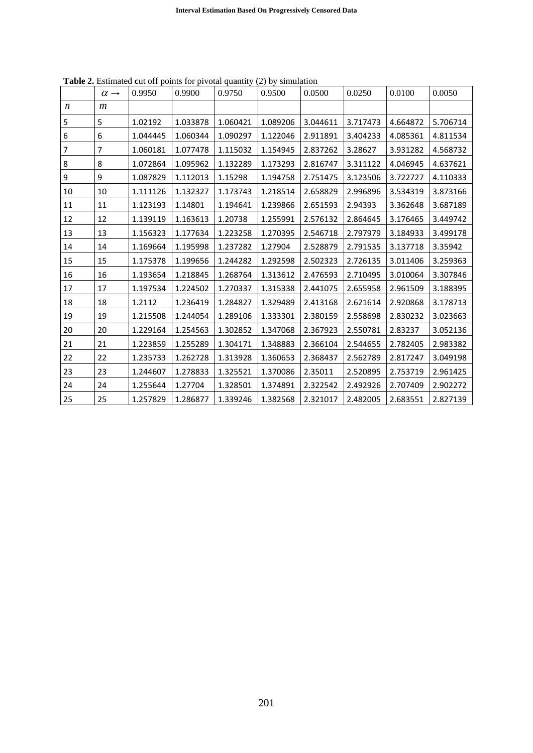|                  | $\alpha \rightarrow$ | 0.9950   | 0.9900   | 0.9750   | 0.9500   | 0.0500   | 0.0250   | 0.0100   | 0.0050   |
|------------------|----------------------|----------|----------|----------|----------|----------|----------|----------|----------|
| $\boldsymbol{n}$ | $\boldsymbol{m}$     |          |          |          |          |          |          |          |          |
| 5                | 5                    | 1.02192  | 1.033878 | 1.060421 | 1.089206 | 3.044611 | 3.717473 | 4.664872 | 5.706714 |
| 6                | 6                    | 1.044445 | 1.060344 | 1.090297 | 1.122046 | 2.911891 | 3.404233 | 4.085361 | 4.811534 |
| 7                | 7                    | 1.060181 | 1.077478 | 1.115032 | 1.154945 | 2.837262 | 3.28627  | 3.931282 | 4.568732 |
| 8                | 8                    | 1.072864 | 1.095962 | 1.132289 | 1.173293 | 2.816747 | 3.311122 | 4.046945 | 4.637621 |
| $\boldsymbol{9}$ | 9                    | 1.087829 | 1.112013 | 1.15298  | 1.194758 | 2.751475 | 3.123506 | 3.722727 | 4.110333 |
| 10               | 10                   | 1.111126 | 1.132327 | 1.173743 | 1.218514 | 2.658829 | 2.996896 | 3.534319 | 3.873166 |
| 11               | 11                   | 1.123193 | 1.14801  | 1.194641 | 1.239866 | 2.651593 | 2.94393  | 3.362648 | 3.687189 |
| 12               | 12                   | 1.139119 | 1.163613 | 1.20738  | 1.255991 | 2.576132 | 2.864645 | 3.176465 | 3.449742 |
| 13               | 13                   | 1.156323 | 1.177634 | 1.223258 | 1.270395 | 2.546718 | 2.797979 | 3.184933 | 3.499178 |
| 14               | 14                   | 1.169664 | 1.195998 | 1.237282 | 1.27904  | 2.528879 | 2.791535 | 3.137718 | 3.35942  |
| 15               | 15                   | 1.175378 | 1.199656 | 1.244282 | 1.292598 | 2.502323 | 2.726135 | 3.011406 | 3.259363 |
| 16               | 16                   | 1.193654 | 1.218845 | 1.268764 | 1.313612 | 2.476593 | 2.710495 | 3.010064 | 3.307846 |
| 17               | 17                   | 1.197534 | 1.224502 | 1.270337 | 1.315338 | 2.441075 | 2.655958 | 2.961509 | 3.188395 |
| 18               | 18                   | 1.2112   | 1.236419 | 1.284827 | 1.329489 | 2.413168 | 2.621614 | 2.920868 | 3.178713 |
| 19               | 19                   | 1.215508 | 1.244054 | 1.289106 | 1.333301 | 2.380159 | 2.558698 | 2.830232 | 3.023663 |
| 20               | 20                   | 1.229164 | 1.254563 | 1.302852 | 1.347068 | 2.367923 | 2.550781 | 2.83237  | 3.052136 |
| 21               | 21                   | 1.223859 | 1.255289 | 1.304171 | 1.348883 | 2.366104 | 2.544655 | 2.782405 | 2.983382 |
| 22               | 22                   | 1.235733 | 1.262728 | 1.313928 | 1.360653 | 2.368437 | 2.562789 | 2.817247 | 3.049198 |
| 23               | 23                   | 1.244607 | 1.278833 | 1.325521 | 1.370086 | 2.35011  | 2.520895 | 2.753719 | 2.961425 |
| 24               | 24                   | 1.255644 | 1.27704  | 1.328501 | 1.374891 | 2.322542 | 2.492926 | 2.707409 | 2.902272 |
| 25               | 25                   | 1.257829 | 1.286877 | 1.339246 | 1.382568 | 2.321017 | 2.482005 | 2.683551 | 2.827139 |

Table 2. Estimated cut off points for pivotal quantity (2) by simulation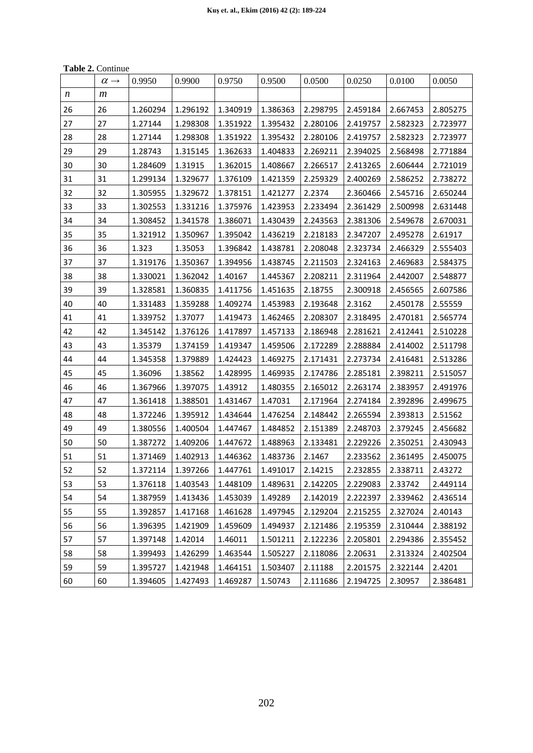**Table 2.** Continue

|    | <b>Lavit <math>\mu</math>.</b> Continue |          |          |          |          |          |          |          |          |
|----|-----------------------------------------|----------|----------|----------|----------|----------|----------|----------|----------|
|    | $\alpha \rightarrow$                    | 0.9950   | 0.9900   | 0.9750   | 0.9500   | 0.0500   | 0.0250   | 0.0100   | 0.0050   |
| n  | $\boldsymbol{m}$                        |          |          |          |          |          |          |          |          |
| 26 | 26                                      | 1.260294 | 1.296192 | 1.340919 | 1.386363 | 2.298795 | 2.459184 | 2.667453 | 2.805275 |
| 27 | 27                                      | 1.27144  | 1.298308 | 1.351922 | 1.395432 | 2.280106 | 2.419757 | 2.582323 | 2.723977 |
| 28 | 28                                      | 1.27144  | 1.298308 | 1.351922 | 1.395432 | 2.280106 | 2.419757 | 2.582323 | 2.723977 |
| 29 | 29                                      | 1.28743  | 1.315145 | 1.362633 | 1.404833 | 2.269211 | 2.394025 | 2.568498 | 2.771884 |
| 30 | 30                                      | 1.284609 | 1.31915  | 1.362015 | 1.408667 | 2.266517 | 2.413265 | 2.606444 | 2.721019 |
| 31 | 31                                      | 1.299134 | 1.329677 | 1.376109 | 1.421359 | 2.259329 | 2.400269 | 2.586252 | 2.738272 |
| 32 | 32                                      | 1.305955 | 1.329672 | 1.378151 | 1.421277 | 2.2374   | 2.360466 | 2.545716 | 2.650244 |
| 33 | 33                                      | 1.302553 | 1.331216 | 1.375976 | 1.423953 | 2.233494 | 2.361429 | 2.500998 | 2.631448 |
| 34 | 34                                      | 1.308452 | 1.341578 | 1.386071 | 1.430439 | 2.243563 | 2.381306 | 2.549678 | 2.670031 |
| 35 | 35                                      | 1.321912 | 1.350967 | 1.395042 | 1.436219 | 2.218183 | 2.347207 | 2.495278 | 2.61917  |
| 36 | 36                                      | 1.323    | 1.35053  | 1.396842 | 1.438781 | 2.208048 | 2.323734 | 2.466329 | 2.555403 |
| 37 | 37                                      | 1.319176 | 1.350367 | 1.394956 | 1.438745 | 2.211503 | 2.324163 | 2.469683 | 2.584375 |
| 38 | 38                                      | 1.330021 | 1.362042 | 1.40167  | 1.445367 | 2.208211 | 2.311964 | 2.442007 | 2.548877 |
| 39 | 39                                      | 1.328581 | 1.360835 | 1.411756 | 1.451635 | 2.18755  | 2.300918 | 2.456565 | 2.607586 |
| 40 | 40                                      | 1.331483 | 1.359288 | 1.409274 | 1.453983 | 2.193648 | 2.3162   | 2.450178 | 2.55559  |
| 41 | 41                                      | 1.339752 | 1.37077  | 1.419473 | 1.462465 | 2.208307 | 2.318495 | 2.470181 | 2.565774 |
| 42 | 42                                      | 1.345142 | 1.376126 | 1.417897 | 1.457133 | 2.186948 | 2.281621 | 2.412441 | 2.510228 |
| 43 | 43                                      | 1.35379  | 1.374159 | 1.419347 | 1.459506 | 2.172289 | 2.288884 | 2.414002 | 2.511798 |
| 44 | 44                                      | 1.345358 | 1.379889 | 1.424423 | 1.469275 | 2.171431 | 2.273734 | 2.416481 | 2.513286 |
| 45 | 45                                      | 1.36096  | 1.38562  | 1.428995 | 1.469935 | 2.174786 | 2.285181 | 2.398211 | 2.515057 |
| 46 | 46                                      | 1.367966 | 1.397075 | 1.43912  | 1.480355 | 2.165012 | 2.263174 | 2.383957 | 2.491976 |
| 47 | 47                                      | 1.361418 | 1.388501 | 1.431467 | 1.47031  | 2.171964 | 2.274184 | 2.392896 | 2.499675 |
| 48 | 48                                      | 1.372246 | 1.395912 | 1.434644 | 1.476254 | 2.148442 | 2.265594 | 2.393813 | 2.51562  |
| 49 | 49                                      | 1.380556 | 1.400504 | 1.447467 | 1.484852 | 2.151389 | 2.248703 | 2.379245 | 2.456682 |
| 50 | 50                                      | 1.387272 | 1.409206 | 1.447672 | 1.488963 | 2.133481 | 2.229226 | 2.350251 | 2.430943 |
| 51 | 51                                      | 1.371469 | 1.402913 | 1.446362 | 1.483736 | 2.1467   | 2.233562 | 2.361495 | 2.450075 |
| 52 | 52                                      | 1.372114 | 1.397266 | 1.447761 | 1.491017 | 2.14215  | 2.232855 | 2.338711 | 2.43272  |
| 53 | 53                                      | 1.376118 | 1.403543 | 1.448109 | 1.489631 | 2.142205 | 2.229083 | 2.33742  | 2.449114 |
| 54 | 54                                      | 1.387959 | 1.413436 | 1.453039 | 1.49289  | 2.142019 | 2.222397 | 2.339462 | 2.436514 |
| 55 | 55                                      | 1.392857 | 1.417168 | 1.461628 | 1.497945 | 2.129204 | 2.215255 | 2.327024 | 2.40143  |
| 56 | 56                                      | 1.396395 | 1.421909 | 1.459609 | 1.494937 | 2.121486 | 2.195359 | 2.310444 | 2.388192 |
| 57 | 57                                      | 1.397148 | 1.42014  | 1.46011  | 1.501211 | 2.122236 | 2.205801 | 2.294386 | 2.355452 |
| 58 | 58                                      | 1.399493 | 1.426299 | 1.463544 | 1.505227 | 2.118086 | 2.20631  | 2.313324 | 2.402504 |
| 59 | 59                                      | 1.395727 | 1.421948 | 1.464151 | 1.503407 | 2.11188  | 2.201575 | 2.322144 | 2.4201   |
| 60 | 60                                      | 1.394605 | 1.427493 | 1.469287 | 1.50743  | 2.111686 | 2.194725 | 2.30957  | 2.386481 |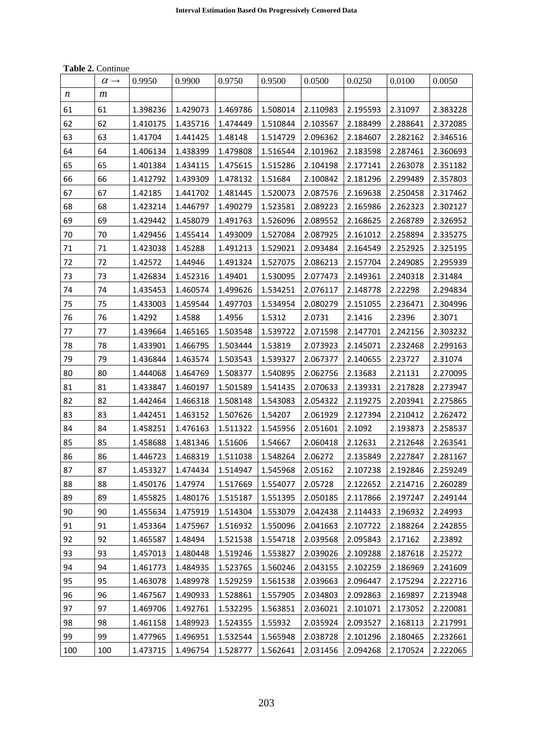**Table 2.** Continue

|     | $\alpha \rightarrow$ | 0.9950   | 0.9900   | 0.9750   | 0.9500   | 0.0500   | 0.0250   | 0.0100   | 0.0050   |
|-----|----------------------|----------|----------|----------|----------|----------|----------|----------|----------|
| n   | m                    |          |          |          |          |          |          |          |          |
| 61  | 61                   | 1.398236 | 1.429073 | 1.469786 | 1.508014 | 2.110983 | 2.195593 | 2.31097  | 2.383228 |
| 62  | 62                   | 1.410175 | 1.435716 | 1.474449 | 1.510844 | 2.103567 | 2.188499 | 2.288641 | 2.372085 |
| 63  | 63                   | 1.41704  | 1.441425 | 1.48148  | 1.514729 | 2.096362 | 2.184607 | 2.282162 | 2.346516 |
| 64  | 64                   | 1.406134 | 1.438399 | 1.479808 | 1.516544 | 2.101962 | 2.183598 | 2.287461 | 2.360693 |
| 65  | 65                   | 1.401384 | 1.434115 | 1.475615 | 1.515286 | 2.104198 | 2.177141 | 2.263078 | 2.351182 |
| 66  | 66                   | 1.412792 | 1.439309 | 1.478132 | 1.51684  | 2.100842 | 2.181296 | 2.299489 | 2.357803 |
| 67  | 67                   | 1.42185  | 1.441702 | 1.481445 | 1.520073 | 2.087576 | 2.169638 | 2.250458 | 2.317462 |
| 68  | 68                   | 1.423214 | 1.446797 | 1.490279 | 1.523581 | 2.089223 | 2.165986 | 2.262323 | 2.302127 |
| 69  | 69                   | 1.429442 | 1.458079 | 1.491763 | 1.526096 | 2.089552 | 2.168625 | 2.268789 | 2.326952 |
| 70  | 70                   | 1.429456 | 1.455414 | 1.493009 | 1.527084 | 2.087925 | 2.161012 | 2.258894 | 2.335275 |
| 71  | 71                   | 1.423038 | 1.45288  | 1.491213 | 1.529021 | 2.093484 | 2.164549 | 2.252925 | 2.325195 |
| 72  | 72                   | 1.42572  | 1.44946  | 1.491324 | 1.527075 | 2.086213 | 2.157704 | 2.249085 | 2.295939 |
| 73  | 73                   | 1.426834 | 1.452316 | 1.49401  | 1.530095 | 2.077473 | 2.149361 | 2.240318 | 2.31484  |
| 74  | 74                   | 1.435453 | 1.460574 | 1.499626 | 1.534251 | 2.076117 | 2.148778 | 2.22298  | 2.294834 |
| 75  | 75                   | 1.433003 | 1.459544 | 1.497703 | 1.534954 | 2.080279 | 2.151055 | 2.236471 | 2.304996 |
| 76  | 76                   | 1.4292   | 1.4588   | 1.4956   | 1.5312   | 2.0731   | 2.1416   | 2.2396   | 2.3071   |
| 77  | 77                   | 1.439664 | 1.465165 | 1.503548 | 1.539722 | 2.071598 | 2.147701 | 2.242156 | 2.303232 |
| 78  | 78                   | 1.433901 | 1.466795 | 1.503444 | 1.53819  | 2.073923 | 2.145071 | 2.232468 | 2.299163 |
| 79  | 79                   | 1.436844 | 1.463574 | 1.503543 | 1.539327 | 2.067377 | 2.140655 | 2.23727  | 2.31074  |
| 80  | 80                   | 1.444068 | 1.464769 | 1.508377 | 1.540895 | 2.062756 | 2.13683  | 2.21131  | 2.270095 |
| 81  | 81                   | 1.433847 | 1.460197 | 1.501589 | 1.541435 | 2.070633 | 2.139331 | 2.217828 | 2.273947 |
| 82  | 82                   | 1.442464 | 1.466318 | 1.508148 | 1.543083 | 2.054322 | 2.119275 | 2.203941 | 2.275865 |
| 83  | 83                   | 1.442451 | 1.463152 | 1.507626 | 1.54207  | 2.061929 | 2.127394 | 2.210412 | 2.262472 |
| 84  | 84                   | 1.458251 | 1.476163 | 1.511322 | 1.545956 | 2.051601 | 2.1092   | 2.193873 | 2.258537 |
| 85  | 85                   | 1.458688 | 1.481346 | 1.51606  | 1.54667  | 2.060418 | 2.12631  | 2.212648 | 2.263541 |
| 86  | 86                   | 1.446723 | 1.468319 | 1.511038 | 1.548264 | 2.06272  | 2.135849 | 2.227847 | 2.281167 |
| 87  | 87                   | 1.453327 | 1.474434 | 1.514947 | 1.545968 | 2.05162  | 2.107238 | 2.192846 | 2.259249 |
| 88  | 88                   | 1.450176 | 1.47974  | 1.517669 | 1.554077 | 2.05728  | 2.122652 | 2.214716 | 2.260289 |
| 89  | 89                   | 1.455825 | 1.480176 | 1.515187 | 1.551395 | 2.050185 | 2.117866 | 2.197247 | 2.249144 |
| 90  | 90                   | 1.455634 | 1.475919 | 1.514304 | 1.553079 | 2.042438 | 2.114433 | 2.196932 | 2.24993  |
| 91  | 91                   | 1.453364 | 1.475967 | 1.516932 | 1.550096 | 2.041663 | 2.107722 | 2.188264 | 2.242855 |
| 92  | 92                   | 1.465587 | 1.48494  | 1.521538 | 1.554718 | 2.039568 | 2.095843 | 2.17162  | 2.23892  |
| 93  | 93                   | 1.457013 | 1.480448 | 1.519246 | 1.553827 | 2.039026 | 2.109288 | 2.187618 | 2.25272  |
| 94  | 94                   | 1.461773 | 1.484935 | 1.523765 | 1.560246 | 2.043155 | 2.102259 | 2.186969 | 2.241609 |
| 95  | 95                   | 1.463078 | 1.489978 | 1.529259 | 1.561538 | 2.039663 | 2.096447 | 2.175294 | 2.222716 |
| 96  | 96                   | 1.467567 | 1.490933 | 1.528861 | 1.557905 | 2.034803 | 2.092863 | 2.169897 | 2.213948 |
| 97  | 97                   | 1.469706 | 1.492761 | 1.532295 | 1.563851 | 2.036021 | 2.101071 | 2.173052 | 2.220081 |
| 98  | 98                   | 1.461158 | 1.489923 | 1.524355 | 1.55932  | 2.035924 | 2.093527 | 2.168113 | 2.217991 |
| 99  | 99                   | 1.477965 | 1.496951 | 1.532544 | 1.565948 | 2.038728 | 2.101296 | 2.180465 | 2.232661 |
| 100 | 100                  | 1.473715 | 1.496754 | 1.528777 | 1.562641 | 2.031456 | 2.094268 | 2.170524 | 2.222065 |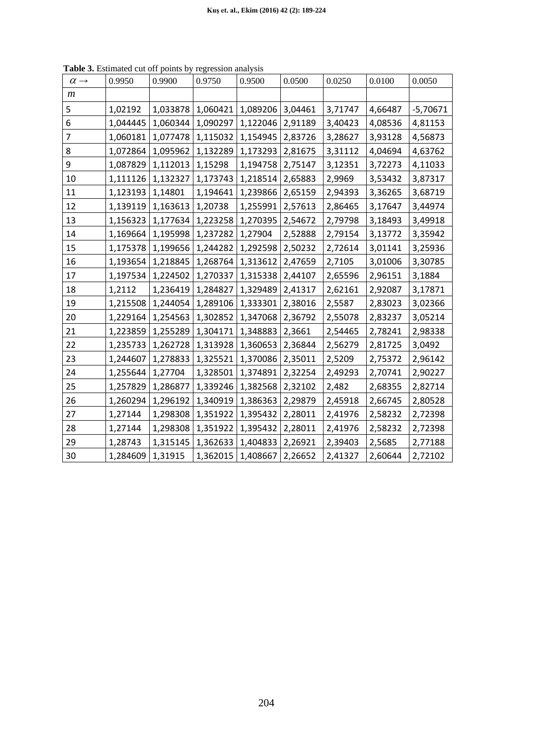| $\alpha \rightarrow$    | 0.9950   | 0.9900   | 0.9750            | 0.9500   | 0.0500  | 0.0250  | 0.0100  | 0.0050     |
|-------------------------|----------|----------|-------------------|----------|---------|---------|---------|------------|
| $\boldsymbol{m}$        |          |          |                   |          |         |         |         |            |
| 5                       | 1,02192  |          | 1,033878 1,060421 | 1,089206 | 3,04461 | 3,71747 | 4,66487 | $-5,70671$ |
| 6                       | 1,044445 | 1,060344 | 1,090297          | 1,122046 | 2,91189 | 3,40423 | 4,08536 | 4,81153    |
| $\overline{\mathbf{z}}$ | 1,060181 | 1,077478 | 1,115032          | 1,154945 | 2,83726 | 3,28627 | 3,93128 | 4,56873    |
| 8                       | 1,072864 | 1,095962 | 1,132289          | 1,173293 | 2,81675 | 3,31112 | 4,04694 | 4,63762    |
| 9                       | 1,087829 | 1,112013 | 1,15298           | 1,194758 | 2,75147 | 3,12351 | 3,72273 | 4,11033    |
| 10                      | 1,111126 | 1,132327 | 1,173743          | 1,218514 | 2,65883 | 2,9969  | 3,53432 | 3,87317    |
| 11                      | 1,123193 | 1,14801  | 1,194641          | 1,239866 | 2,65159 | 2,94393 | 3,36265 | 3,68719    |
| 12                      | 1,139119 | 1,163613 | 1,20738           | 1,255991 | 2,57613 | 2,86465 | 3,17647 | 3,44974    |
| 13                      | 1,156323 | 1,177634 | 1,223258          | 1,270395 | 2,54672 | 2,79798 | 3,18493 | 3,49918    |
| 14                      | 1,169664 | 1,195998 | 1,237282          | 1,27904  | 2,52888 | 2,79154 | 3,13772 | 3,35942    |
| 15                      | 1,175378 | 1,199656 | 1,244282          | 1,292598 | 2,50232 | 2,72614 | 3,01141 | 3,25936    |
| 16                      | 1,193654 | 1,218845 | 1,268764          | 1,313612 | 2,47659 | 2,7105  | 3,01006 | 3,30785    |
| 17                      | 1,197534 |          | 1,224502 1,270337 | 1,315338 | 2,44107 | 2,65596 | 2,96151 | 3,1884     |
| 18                      | 1,2112   | 1,236419 | 1,284827          | 1,329489 | 2,41317 | 2,62161 | 2,92087 | 3,17871    |
| 19                      | 1,215508 | 1,244054 | 1,289106          | 1,333301 | 2,38016 | 2,5587  | 2,83023 | 3,02366    |
| 20                      | 1,229164 | 1,254563 | 1,302852          | 1,347068 | 2,36792 | 2,55078 | 2,83237 | 3,05214    |
| 21                      | 1,223859 | 1,255289 | 1,304171          | 1,348883 | 2,3661  | 2,54465 | 2,78241 | 2,98338    |
| 22                      | 1,235733 | 1,262728 | 1,313928          | 1,360653 | 2,36844 | 2,56279 | 2,81725 | 3,0492     |
| 23                      | 1,244607 | 1,278833 | 1,325521          | 1,370086 | 2,35011 | 2,5209  | 2,75372 | 2,96142    |
| 24                      | 1,255644 | 1,27704  | 1,328501          | 1,374891 | 2,32254 | 2,49293 | 2,70741 | 2,90227    |
| 25                      | 1,257829 | 1,286877 | 1,339246          | 1,382568 | 2,32102 | 2,482   | 2,68355 | 2,82714    |
| 26                      | 1,260294 | 1,296192 | 1,340919          | 1,386363 | 2,29879 | 2,45918 | 2,66745 | 2,80528    |
| 27                      | 1,27144  | 1,298308 | 1,351922          | 1,395432 | 2,28011 | 2,41976 | 2,58232 | 2,72398    |
| 28                      | 1,27144  | 1,298308 | 1,351922          | 1,395432 | 2,28011 | 2,41976 | 2,58232 | 2,72398    |
| 29                      | 1,28743  | 1,315145 | 1,362633          | 1,404833 | 2,26921 | 2,39403 | 2,5685  | 2,77188    |
| 30                      | 1,284609 | 1,31915  | 1,362015          | 1,408667 | 2,26652 | 2,41327 | 2,60644 | 2,72102    |

**Table 3.** Estimated cut off points by regression analysis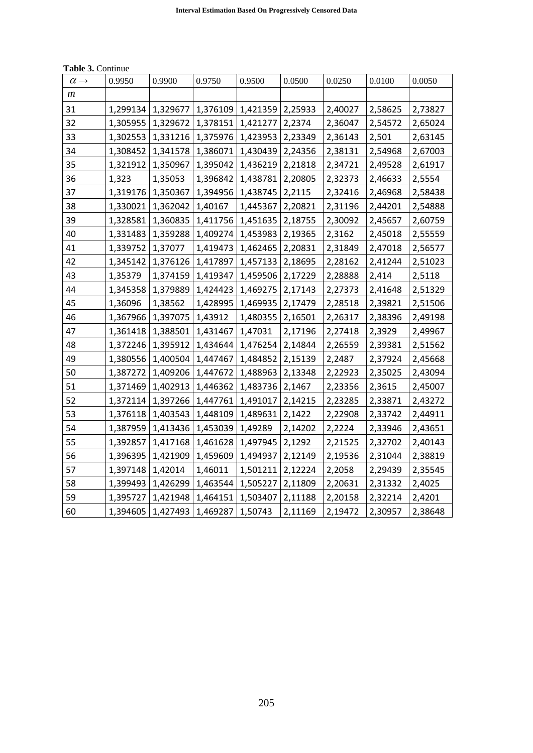| $\alpha \rightarrow$ | 0.9950   | 0.9900   | 0.9750            | 0.9500                        | 0.0500  | 0.0250  | 0.0100  | 0.0050  |
|----------------------|----------|----------|-------------------|-------------------------------|---------|---------|---------|---------|
| $\boldsymbol{m}$     |          |          |                   |                               |         |         |         |         |
| 31                   | 1,299134 | 1,329677 |                   | 1,376109   1,421359   2,25933 |         | 2,40027 | 2,58625 | 2,73827 |
| 32                   | 1,305955 | 1,329672 | 1,378151          | 1,421277                      | 2,2374  | 2,36047 | 2,54572 | 2,65024 |
| 33                   | 1,302553 | 1,331216 | 1,375976          | 1,423953 2,23349              |         | 2,36143 | 2,501   | 2,63145 |
| 34                   | 1,308452 | 1,341578 | 1,386071          | $1,430439$ 2,24356            |         | 2,38131 | 2,54968 | 2,67003 |
| 35                   | 1,321912 | 1,350967 | 1,395042          | 1,436219 2,21818              |         | 2,34721 | 2,49528 | 2,61917 |
| 36                   | 1,323    | 1,35053  | 1,396842          | 1,438781                      | 2,20805 | 2,32373 | 2,46633 | 2,5554  |
| 37                   | 1,319176 | 1,350367 | 1,394956          | 1,438745 2,2115               |         | 2,32416 | 2,46968 | 2,58438 |
| 38                   | 1,330021 | 1,362042 | 1,40167           | 1,445367                      | 2,20821 | 2,31196 | 2,44201 | 2,54888 |
| 39                   | 1,328581 | 1,360835 | 1,411756          | 1,451635                      | 2,18755 | 2,30092 | 2,45657 | 2,60759 |
| 40                   | 1,331483 | 1,359288 |                   | 1,409274   1,453983   2,19365 |         | 2,3162  | 2,45018 | 2,55559 |
| 41                   | 1,339752 | 1,37077  | 1,419473          | 1,462465 2,20831              |         | 2,31849 | 2,47018 | 2,56577 |
| 42                   | 1,345142 | 1,376126 | 1,417897          | 1,457133                      | 2,18695 | 2,28162 | 2,41244 | 2,51023 |
| 43                   | 1,35379  | 1,374159 | 1,419347          | 1,459506   2,17229            |         | 2,28888 | 2,414   | 2,5118  |
| 44                   | 1,345358 | 1,379889 | 1,424423          | 1,469275 2,17143              |         | 2,27373 | 2,41648 | 2,51329 |
| 45                   | 1,36096  | 1,38562  | 1,428995          | 1,469935 2,17479              |         | 2,28518 | 2,39821 | 2,51506 |
| 46                   | 1,367966 | 1,397075 | 1,43912           | 1,480355   2,16501            |         | 2,26317 | 2,38396 | 2,49198 |
| 47                   | 1,361418 | 1,388501 | 1,431467          | 1,47031                       | 2,17196 | 2,27418 | 2,3929  | 2,49967 |
| 48                   | 1,372246 | 1,395912 | 1,434644          | 1,476254 2,14844              |         | 2,26559 | 2,39381 | 2,51562 |
| 49                   | 1,380556 | 1,400504 | 1,447467          | 1,484852                      | 2,15139 | 2,2487  | 2,37924 | 2,45668 |
| 50                   | 1,387272 | 1,409206 | 1,447672          | 1,488963   2,13348            |         | 2,22923 | 2,35025 | 2,43094 |
| 51                   | 1,371469 | 1,402913 | 1,446362          | 1,483736 2,1467               |         | 2,23356 | 2,3615  | 2,45007 |
| 52                   | 1,372114 | 1,397266 | 1,447761          | 1,491017                      | 2,14215 | 2,23285 | 2,33871 | 2,43272 |
| 53                   | 1,376118 | 1,403543 | 1,448109          | 1,489631 2,1422               |         | 2,22908 | 2,33742 | 2,44911 |
| 54                   | 1,387959 | 1,413436 | 1,453039          | 1,49289                       | 2,14202 | 2,2224  | 2,33946 | 2,43651 |
| 55                   | 1,392857 | 1,417168 | 1,461628          | 1,497945 2,1292               |         | 2,21525 | 2,32702 | 2,40143 |
| 56                   | 1,396395 | 1,421909 | 1,459609          | 1,494937 2,12149              |         | 2,19536 | 2,31044 | 2,38819 |
| 57                   | 1,397148 | 1,42014  | 1,46011           | 1,501211 2,12224              |         | 2,2058  | 2,29439 | 2,35545 |
| 58                   | 1,399493 | 1,426299 | 1,463544          | 1,505227                      | 2,11809 | 2,20631 | 2,31332 | 2,4025  |
| 59                   | 1,395727 | 1,421948 | 1,464151          | 1,503407                      | 2,11188 | 2,20158 | 2,32214 | 2,4201  |
| 60                   | 1,394605 |          | 1,427493 1,469287 | 1,50743                       | 2,11169 | 2,19472 | 2,30957 | 2,38648 |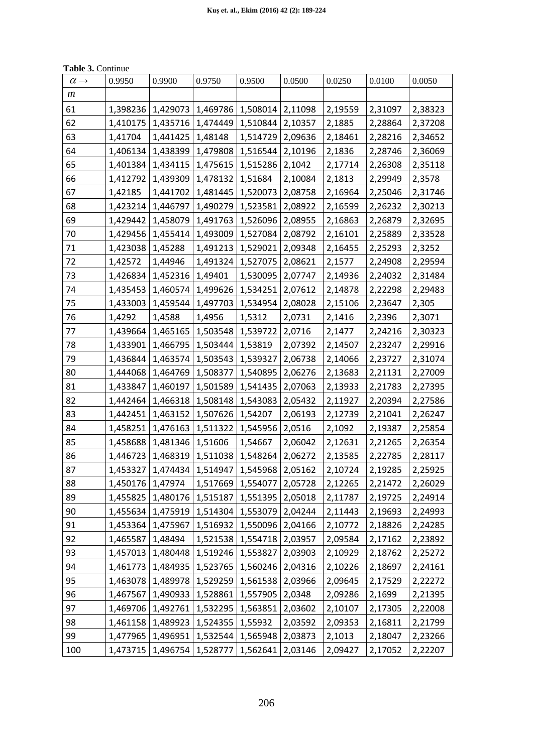| <b>Table 3. Continue</b> |  |
|--------------------------|--|
|--------------------------|--|

| $\alpha \rightarrow$ | 0.9950           | 0.9900                                    | 0.9750   | 0.9500                        | 0.0500  | 0.0250  | 0.0100  | 0.0050  |
|----------------------|------------------|-------------------------------------------|----------|-------------------------------|---------|---------|---------|---------|
| $\boldsymbol{m}$     |                  |                                           |          |                               |         |         |         |         |
| 61                   |                  | 1,398236   1,429073                       |          | 1,469786   1,508014   2,11098 |         | 2,19559 | 2,31097 | 2,38323 |
| 62                   | 1,410175         | 1,435716                                  |          | 1,474449   1,510844           | 2,10357 | 2,1885  | 2,28864 | 2,37208 |
| 63                   | 1,41704          | 1,441425                                  | 1,48148  | 1,514729                      | 2,09636 | 2,18461 | 2,28216 | 2,34652 |
| 64                   | 1,406134         | 1,438399                                  | 1,479808 | 1,516544                      | 2,10196 | 2,1836  | 2,28746 | 2,36069 |
| 65                   |                  | 1,401384 1,434115                         |          | 1,475615   1,515286           | 2,1042  | 2,17714 | 2,26308 | 2,35118 |
| 66                   | 1,412792         | 1,439309                                  | 1,478132 | 1,51684                       | 2,10084 | 2,1813  | 2,29949 | 2,3578  |
| 67                   | 1,42185          | 1,441702                                  | 1,481445 | 1,520073                      | 2,08758 | 2,16964 | 2,25046 | 2,31746 |
| 68                   |                  | 1,423214 1,446797                         |          | 1,490279   1,523581           | 2,08922 | 2,16599 | 2,26232 | 2,30213 |
| 69                   | 1,429442         | 1,458079                                  | 1,491763 | 1,526096                      | 2,08955 | 2,16863 | 2,26879 | 2,32695 |
| 70                   | 1,429456         | 1,455414                                  | 1,493009 | 1,527084                      | 2,08792 | 2,16101 | 2,25889 | 2,33528 |
| 71                   | 1,423038         | 1,45288                                   | 1,491213 | 1,529021                      | 2,09348 | 2,16455 | 2,25293 | 2,3252  |
| 72                   | 1,42572          | 1,44946                                   |          | 1,491324   1,527075           | 2,08621 | 2,1577  | 2,24908 | 2,29594 |
| 73                   | 1,426834         | 1,452316                                  | 1,49401  | 1,530095                      | 2,07747 | 2,14936 | 2,24032 | 2,31484 |
| 74                   | 1,435453         | 1,460574                                  |          | 1,499626   1,534251           | 2,07612 | 2,14878 | 2,22298 | 2,29483 |
| 75                   |                  | 1,433003   1,459544                       | 1,497703 | 1,534954                      | 2,08028 | 2,15106 | 2,23647 | 2,305   |
| 76                   | 1,4292           | 1,4588                                    | 1,4956   | 1,5312                        | 2,0731  | 2,1416  | 2,2396  | 2,3071  |
| 77                   |                  | 1,439664   1,465165                       | 1,503548 | 1,539722                      | 2,0716  | 2,1477  | 2,24216 | 2,30323 |
| 78                   | 1,433901         | 1,466795                                  | 1,503444 | 1,53819                       | 2,07392 | 2,14507 | 2,23247 | 2,29916 |
| 79                   | 1,436844         | 1,463574                                  |          | 1,503543   1,539327           | 2,06738 | 2,14066 | 2,23727 | 2,31074 |
| 80                   |                  | 1,444068   1,464769                       | 1,508377 | 1,540895                      | 2,06276 | 2,13683 | 2,21131 | 2,27009 |
| 81                   | 1,433847         | 1,460197                                  | 1,501589 | 1,541435                      | 2,07063 | 2,13933 | 2,21783 | 2,27395 |
| 82                   | 1,442464         | 1,466318                                  | 1,508148 | 1,543083                      | 2,05432 | 2,11927 | 2,20394 | 2,27586 |
| 83                   | 1,442451         | 1,463152                                  | 1,507626 | 1,54207                       | 2,06193 | 2,12739 | 2,21041 | 2,26247 |
| 84                   | 1,458251         | 1,476163                                  | 1,511322 | 1,545956                      | 2,0516  | 2,1092  | 2,19387 | 2,25854 |
| 85                   |                  | 1,458688   1,481346                       | 1,51606  | 1,54667                       | 2,06042 | 2,12631 | 2,21265 | 2,26354 |
| 86                   | 1,446723         | 1,468319                                  |          | 1,511038   1,548264           | 2,06272 | 2,13585 | 2,22785 | 2,28117 |
| 87                   |                  | 1,453327   1,474434   1,514947   1,545968 |          |                               | 2,05162 | 2,10724 | 2,19285 | 2,25925 |
| 88                   | 1,450176 1,47974 |                                           | 1,517669 | 1,554077                      | 2,05728 | 2,12265 | 2,21472 | 2,26029 |
| 89                   | 1,455825         | 1,480176                                  | 1,515187 | 1,551395                      | 2,05018 | 2,11787 | 2,19725 | 2,24914 |
| 90                   | 1,455634         | 1,475919                                  | 1,514304 | 1,553079                      | 2,04244 | 2,11443 | 2,19693 | 2,24993 |
| 91                   | 1,453364         | 1,475967                                  |          | 1,516932   1,550096           | 2,04166 | 2,10772 | 2,18826 | 2,24285 |
| 92                   | 1,465587         | 1,48494                                   |          | 1,521538   1,554718           | 2,03957 | 2,09584 | 2,17162 | 2,23892 |
| 93                   | 1,457013         | 1,480448                                  | 1,519246 | 1,553827                      | 2,03903 | 2,10929 | 2,18762 | 2,25272 |
| 94                   | 1,461773         | 1,484935                                  | 1,523765 | 1,560246                      | 2,04316 | 2,10226 | 2,18697 | 2,24161 |
| 95                   | 1,463078         | 1,489978                                  | 1,529259 | 1,561538                      | 2,03966 | 2,09645 | 2,17529 | 2,22272 |
| 96                   | 1,467567         | 1,490933                                  | 1,528861 | 1,557905                      | 2,0348  | 2,09286 | 2,1699  | 2,21395 |
| 97                   |                  | 1,469706   1,492761                       | 1,532295 | 1,563851                      | 2,03602 | 2,10107 | 2,17305 | 2,22008 |
| 98                   |                  | 1,461158   1,489923                       | 1,524355 | 1,55932                       | 2,03592 | 2,09353 | 2,16811 | 2,21799 |
| 99                   | 1,477965         | 1,496951                                  | 1,532544 | 1,565948                      | 2,03873 | 2,1013  | 2,18047 | 2,23266 |
| 100                  | 1,473715         | 1,496754                                  | 1,528777 | 1,562641                      | 2,03146 | 2,09427 | 2,17052 | 2,22207 |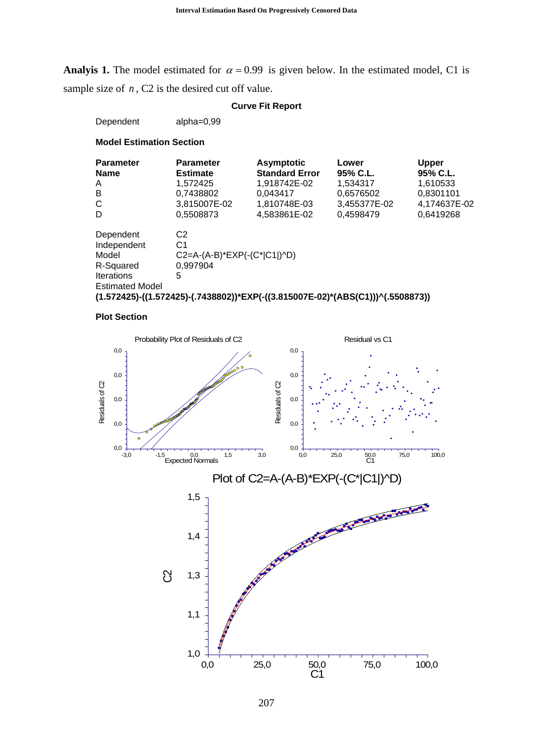**Analyis 1.** The model estimated for  $\alpha = 0.99$  is given below. In the estimated model, C1 is sample size of *n*, C<sub>2</sub> is the desired cut off value.

#### **Curve Fit Report**

Dependent alpha=0,99

**Model Estimation Section**

| <b>Parameter</b>                                                                              | <b>Parameter</b>                                                                                                                                                              | <b>Asymptotic</b>     | Lower        | Upper        |
|-----------------------------------------------------------------------------------------------|-------------------------------------------------------------------------------------------------------------------------------------------------------------------------------|-----------------------|--------------|--------------|
| <b>Name</b>                                                                                   | <b>Estimate</b>                                                                                                                                                               | <b>Standard Error</b> | 95% C.L.     | 95% C.L.     |
| A                                                                                             | 1,572425                                                                                                                                                                      | 1,918742E-02          | 1,534317     | 1,610533     |
| B                                                                                             | 0,7438802                                                                                                                                                                     | 0.043417              | 0,6576502    | 0,8301101    |
| C                                                                                             | 3,815007E-02                                                                                                                                                                  | 1,810748E-03          | 3,455377E-02 | 4,174637E-02 |
| D                                                                                             | 0.5508873                                                                                                                                                                     | 4,583861E-02          | 0,4598479    | 0,6419268    |
| Dependent<br>Independent<br>Model<br>R-Squared<br><b>Iterations</b><br><b>Estimated Model</b> | C <sub>2</sub><br>C1<br>$C2=A-(A-B)*EXP(-(C* C1 )^AD)$<br>0.997904<br>5<br>$(1.572425)$ - $((1.572425)$ - $(0.7438802))^*$ EXP $(-(3.815007E-02)^*$ $(ABS(C1))$ $(0.5508873)$ |                       |              |              |

#### **Plot Section**

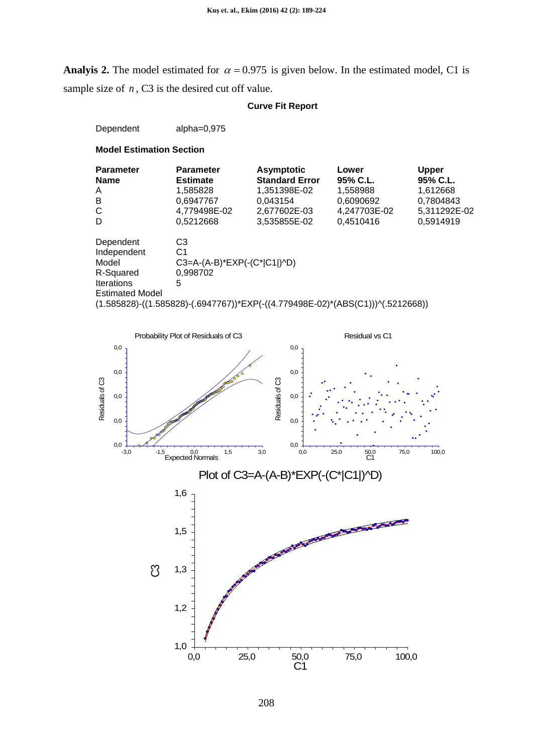**Analyis 2.** The model estimated for  $\alpha = 0.975$  is given below. In the estimated model, C1 is sample size of *n*, C3 is the desired cut off value.

### **Curve Fit Report**

Dependent alpha=0,975

| <b>Parameter</b><br><b>Name</b>                                                                       | <b>Parameter</b><br><b>Estimate</b> | <b>Asymptotic</b><br><b>Standard Error</b> | Lower<br>95% C.L. | <b>Upper</b><br>95% C.L. |
|-------------------------------------------------------------------------------------------------------|-------------------------------------|--------------------------------------------|-------------------|--------------------------|
| A                                                                                                     | 1,585828                            | 1,351398E-02                               | 1.558988          | 1,612668                 |
| B                                                                                                     | 0.6947767                           | 0.043154                                   | 0,6090692         | 0,7804843                |
| C                                                                                                     | 4,779498E-02                        | 2,677602E-03                               | 4,247703E-02      | 5,311292E-02             |
| D                                                                                                     | 0,5212668                           | 3,535855E-02                               | 0,4510416         | 0,5914919                |
| Dependent                                                                                             | C <sub>3</sub>                      |                                            |                   |                          |
| Independent                                                                                           | C1                                  |                                            |                   |                          |
| Model                                                                                                 | $C3=A-(A-B)*EXP(-(C* C1 )^AD)$      |                                            |                   |                          |
| R-Squared                                                                                             | 0.998702                            |                                            |                   |                          |
| <b>Iterations</b>                                                                                     | 5                                   |                                            |                   |                          |
| <b>Estimated Model</b>                                                                                |                                     |                                            |                   |                          |
| $(1.585828)$ - $((1.585828)$ - $(.6947767))^*$ EXP $(-(4.779498E-02)^*(ABB(C1))$ ) $\land (.5212668)$ |                                     |                                            |                   |                          |

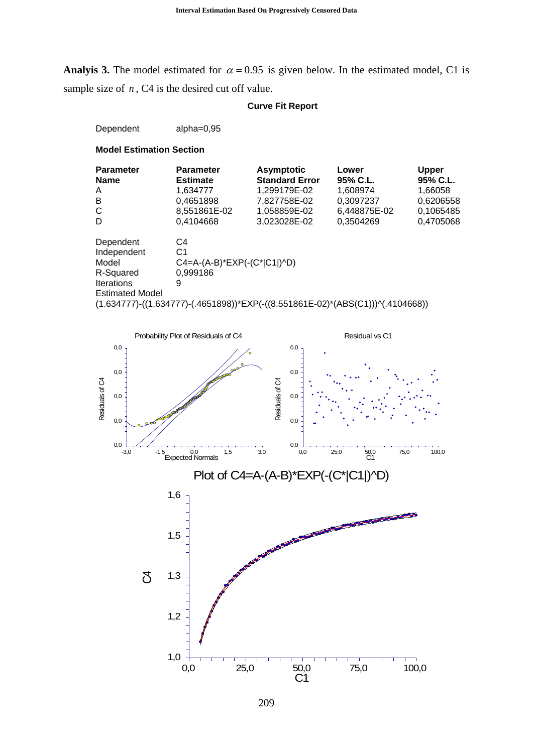**Analyis 3.** The model estimated for  $\alpha = 0.95$  is given below. In the estimated model, C1 is sample size of *n*, C<sub>4</sub> is the desired cut off value.

### **Curve Fit Report**

Dependent alpha=0,95

| <b>Parameter</b><br><b>Name</b> | <b>Parameter</b><br><b>Estimate</b>                                                                  | <b>Asymptotic</b><br><b>Standard Error</b> | Lower<br>95% C.L. | Upper<br>95% C.L. |
|---------------------------------|------------------------------------------------------------------------------------------------------|--------------------------------------------|-------------------|-------------------|
| A                               | 1.634777                                                                                             | 1.299179E-02                               | 1,608974          | 1.66058           |
| B                               | 0,4651898                                                                                            | 7,827758E-02                               | 0,3097237         | 0,6206558         |
| C                               | 8,551861E-02                                                                                         | 1,058859E-02                               | 6,448875E-02      | 0,1065485         |
| D                               | 0,4104668                                                                                            | 3,023028E-02                               | 0,3504269         | 0,4705068         |
| Dependent                       | C4                                                                                                   |                                            |                   |                   |
| Independent                     | C1                                                                                                   |                                            |                   |                   |
| Model                           | $C4 = A-(A-B)*EXP(-(C* C1 )^D)$                                                                      |                                            |                   |                   |
| R-Squared                       | 0.999186                                                                                             |                                            |                   |                   |
| Iterations                      | 9                                                                                                    |                                            |                   |                   |
| <b>Estimated Model</b>          |                                                                                                      |                                            |                   |                   |
|                                 | $(1.634777)$ - $((1.634777)$ - $(.4651898))^*$ EXP $(-(8.551861E-02)^*(ABS(C1))$ ) $\vee(.4104668))$ |                                            |                   |                   |

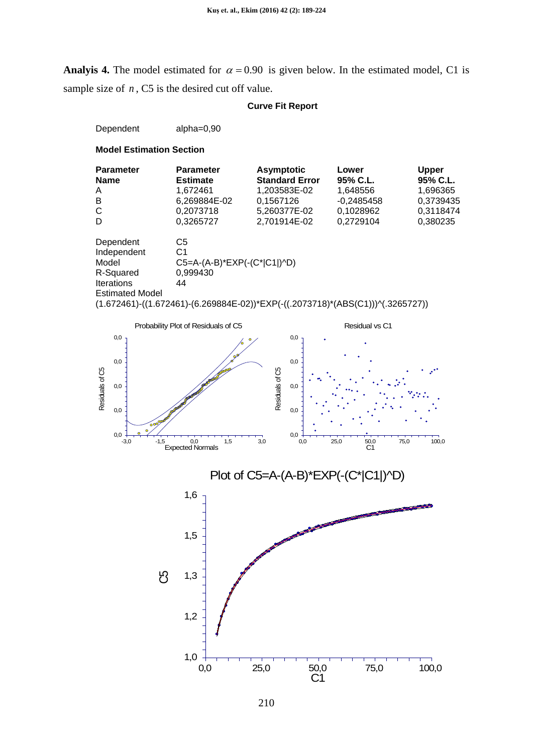**Analyis 4.** The model estimated for  $\alpha = 0.90$  is given below. In the estimated model, C1 is sample size of *n*, C5 is the desired cut off value.

### **Curve Fit Report**

Dependent alpha=0,90

| <b>Parameter</b>       | <b>Parameter</b>            | <b>Asymptotic</b>                                                                                         | Lower        | <b>Upper</b> |
|------------------------|-----------------------------|-----------------------------------------------------------------------------------------------------------|--------------|--------------|
| <b>Name</b>            | <b>Estimate</b>             | <b>Standard Error</b>                                                                                     | 95% C.L.     | 95% C.L.     |
| A                      | 1,672461                    | 1,203583E-02                                                                                              | 1,648556     | 1,696365     |
| B                      | 6,269884E-02                | 0,1567126                                                                                                 | $-0,2485458$ | 0,3739435    |
| C                      | 0,2073718                   | 5,260377E-02                                                                                              | 0,1028962    | 0,3118474    |
| D                      | 0,3265727                   | 2,701914E-02                                                                                              | 0,2729104    | 0,380235     |
| Dependent              | C5                          |                                                                                                           |              |              |
| Independent            | C1                          |                                                                                                           |              |              |
| Model                  | C5=A-(A-B)*EXP(-(C* C1 )^D) |                                                                                                           |              |              |
| R-Squared              | 0,999430                    |                                                                                                           |              |              |
| <b>Iterations</b>      | 44                          |                                                                                                           |              |              |
| <b>Estimated Model</b> |                             |                                                                                                           |              |              |
|                        |                             | $(1.672461)$ - $((1.672461)$ - $(6.269884E-02))$ *EXP $(-(1.2073718)$ * $(ABS(C1))$ ) $\vee$ $(.3265727)$ |              |              |





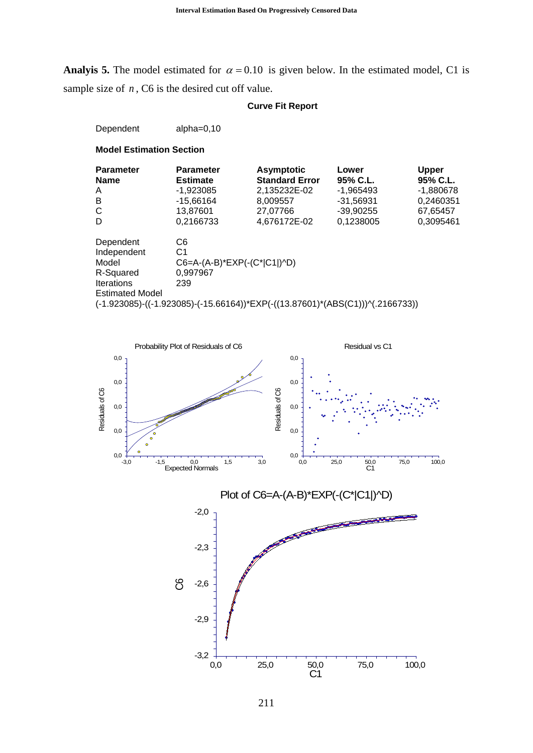**Analyis 5.** The model estimated for  $\alpha = 0.10$  is given below. In the estimated model, C1 is sample size of *n*, C6 is the desired cut off value.

#### **Curve Fit Report**

Dependent alpha=0,10

**Model Estimation Section**

| <b>Parameter</b><br><b>Name</b> | <b>Parameter</b><br><b>Estimate</b> | <b>Asymptotic</b><br><b>Standard Error</b> | Lower<br>95% C.L.                                                                                                                | Upper<br>95% C.L. |
|---------------------------------|-------------------------------------|--------------------------------------------|----------------------------------------------------------------------------------------------------------------------------------|-------------------|
| A                               | -1.923085                           | 2,135232E-02                               | $-1.965493$                                                                                                                      | -1,880678         |
| B                               | $-15,66164$                         | 8.009557                                   | -31,56931                                                                                                                        | 0,2460351         |
| C                               | 13,87601                            | 27,07766                                   | -39,90255                                                                                                                        | 67,65457          |
| D                               | 0,2166733                           | 4,676172E-02                               | 0,1238005                                                                                                                        | 0,3095461         |
| Dependent                       | C6                                  |                                            |                                                                                                                                  |                   |
| Independent                     | C1                                  |                                            |                                                                                                                                  |                   |
| Model                           | C6=A-(A-B)*EXP(-(C* C1 )^D)         |                                            |                                                                                                                                  |                   |
| R-Squared                       | 0.997967                            |                                            |                                                                                                                                  |                   |
| <b>Iterations</b>               | 239                                 |                                            |                                                                                                                                  |                   |
| <b>Estimated Model</b>          |                                     |                                            |                                                                                                                                  |                   |
|                                 |                                     |                                            | $(-1.923085)$ - $((-1.923085)$ - $(-15.66164))^*$ EXP $(-(13.87601)^*$ (ABS $(C1))$ ) <sup><math>\land</math></sup> $(.2166733)$ |                   |



0,0 25,0 50,0 75,0 100,0

 $50,0$ <br>C1

 $-3,2 + 0,0$ 

-2,9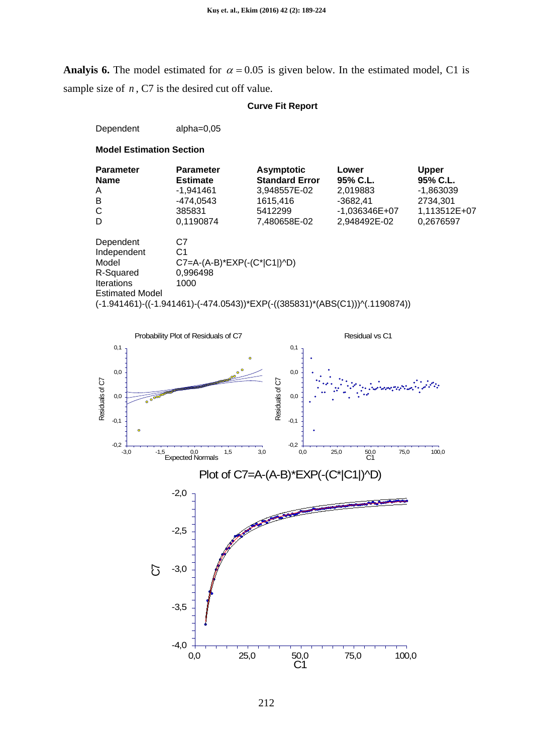**Analyis 6.** The model estimated for  $\alpha = 0.05$  is given below. In the estimated model, C1 is sample size of *n*, C7 is the desired cut off value.

### **Curve Fit Report**

Dependent alpha=0,05

| <b>Parameter</b><br><b>Name</b> | <b>Parameter</b><br><b>Estimate</b>                                         | Asymptotic<br><b>Standard Error</b> | Lower<br>95% C.L. | <b>Upper</b><br>95% C.L. |
|---------------------------------|-----------------------------------------------------------------------------|-------------------------------------|-------------------|--------------------------|
| A                               | $-1.941461$                                                                 | 3,948557E-02                        | 2,019883          | -1.863039                |
| B                               | -474,0543                                                                   | 1615,416                            | $-3682.41$        | 2734,301                 |
| C                               | 385831                                                                      | 5412299                             | $-1,036346E+07$   | 1,113512E+07             |
| D                               | 0,1190874                                                                   | 7,480658E-02                        | 2,948492E-02      | 0,2676597                |
| Dependent                       | C7                                                                          |                                     |                   |                          |
| Independent                     | C1                                                                          |                                     |                   |                          |
| Model                           | $C7=A-(A-B)*EXP(-(C* C1 )^AD)$                                              |                                     |                   |                          |
| R-Squared                       | 0.996498                                                                    |                                     |                   |                          |
| <b>Iterations</b>               | 1000                                                                        |                                     |                   |                          |
| <b>Estimated Model</b>          |                                                                             |                                     |                   |                          |
|                                 | (-1.941461)-((-1.941461)-(-474.0543))*EXP(-((385831)*(ABS(C1)))^(.1190874)) |                                     |                   |                          |

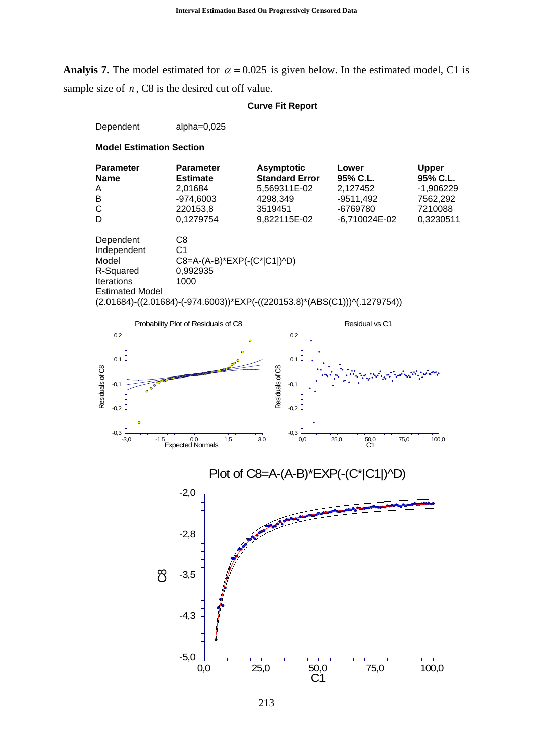**Analyis 7.** The model estimated for  $\alpha = 0.025$  is given below. In the estimated model, C1 is sample size of *n*, C8 is the desired cut off value.

#### **Curve Fit Report**

Dependent alpha=0,025





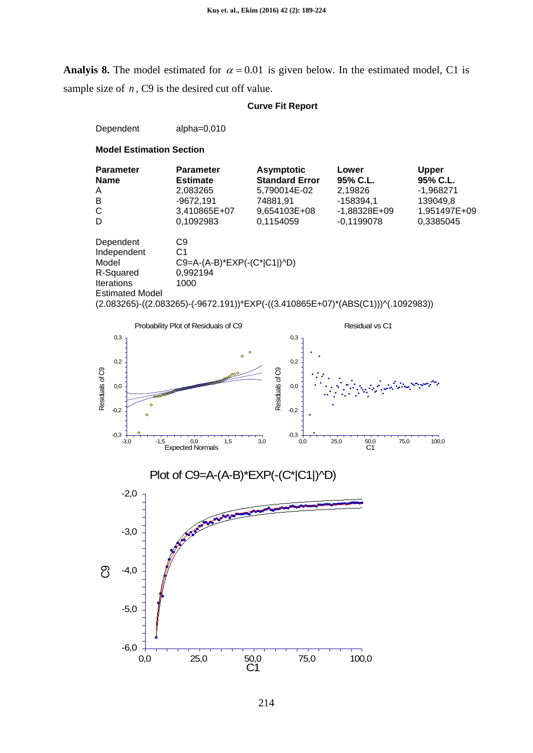**Analyis 8.** The model estimated for  $\alpha = 0.01$  is given below. In the estimated model, C1 is sample size of *n*, C9 is the desired cut off value.

### **Curve Fit Report**

Dependent alpha=0,010







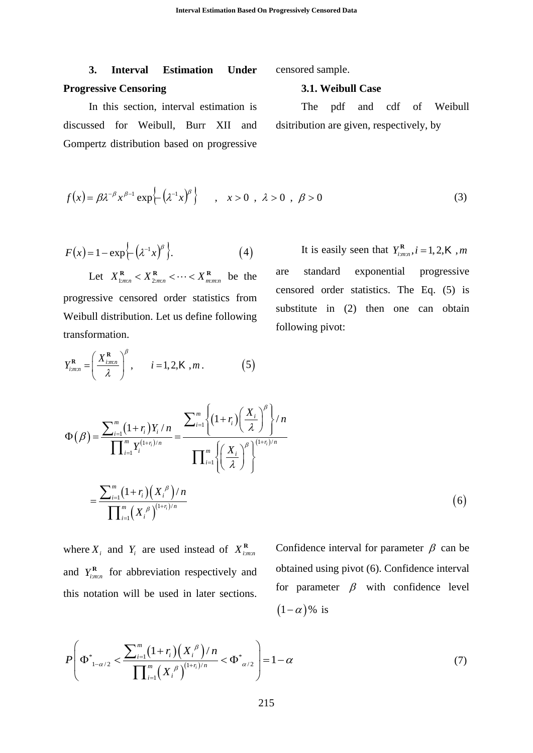# **3. Interval Estimation Under Progressive Censoring**

censored sample.

#### **3.1. Weibull Case**

In this section, interval estimation is discussed for Weibull, Burr XII and Gompertz distribution based on progressive

The pdf and cdf of Weibull dsitribution are given, respectively, by

$$
f(x) = \beta \lambda^{-\beta} x^{\beta - 1} \exp\left\{-\left(\lambda^{-1} x\right)^{\beta}\right\} \quad , \quad x > 0 \quad , \quad \lambda > 0 \quad , \quad \beta > 0 \tag{3}
$$

$$
F(x) = 1 - \exp\left\{-\left(\lambda^{-1}x\right)^{\beta}\right\}.
$$
 (4)

Let  $X_{1:m:n}^{\mathbf{R}} < X_{2:m:n}^{\mathbf{R}} < \cdots < X_{m:m:n}^{\mathbf{R}}$  be the progressive censored order statistics from Weibull distribution. Let us define following transformation.

 $R_{m,n} = \left(\frac{X_{i,m,n}^R}{i}\right)^{\nu}, \quad i = 1, 2, K, m.$  (5)

 $Y_{i,mn}^{\mathbf{R}} = \left(\frac{X_{i,mn}^{\mathbf{R}}}{2}\right)^{\beta}, \quad i = 1, 2, \mathbf{K}, m$  $=\left(\frac{X_{i:m:n}^{\mathbf{R}}}{\lambda}\right)^{\nu}, \quad i=$ 

 $(\lambda)$ 

It is easily seen that  $Y_{i:m:n}^{\mathbf{R}}$ ,  $i = 1, 2, \mathbf{K}$ , *m* are standard exponential progressive censored order statistics. The Eq. (5) is substitute in (2) then one can obtain following pivot:

$$
\Phi(\beta) = \frac{\sum_{i=1}^{m} (1+r_i) Y_i / n}{\prod_{i=1}^{m} Y_i^{(1+r_i)/n}} = \frac{\sum_{i=1}^{m} \left\{ (1+r_i) \left( \frac{X_i}{\lambda} \right)^{\beta} \right\} / n}{\prod_{i=1}^{m} \left\{ \left( \frac{X_i}{\lambda} \right)^{\beta} \right\}^{(1+r_i)/n}}
$$

$$
= \frac{\sum_{i=1}^{m} (1+r_i) (X_i)^{\beta} / n}{\prod_{i=1}^{m} (X_i)^{\beta} (1+r_i)/n}
$$
(6)

where  $X_i$  and  $Y_i$  are used instead of  $X_{i:m:n}^R$ and  $Y_{i:m:n}^{\mathbf{R}}$  for abbreviation respectively and this notation will be used in later sections.

Confidence interval for parameter  $\beta$  can be obtained using pivot (6). Confidence interval for parameter  $\beta$  with confidence level  $(1-\alpha)\%$  is

$$
P\left(\Phi^*_{1-\alpha/2} < \frac{\sum_{i=1}^m (1+r_i)(X_i^{\beta})/n}{\prod_{i=1}^m (X_i^{\beta})^{(1+r_i)/n}} < \Phi^*_{\alpha/2}\right) = 1 - \alpha \tag{7}
$$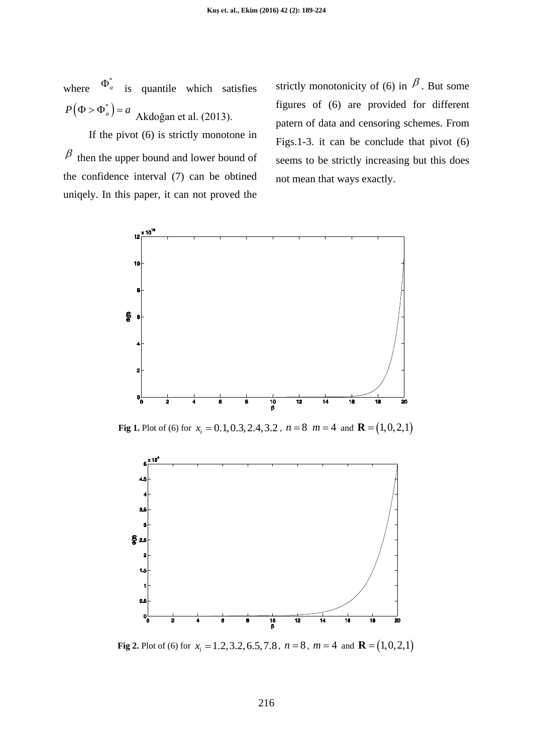where  $\Phi_a^*$  is quantile which satisfies  $P(\Phi > \Phi_a^*) = a$  Akdoğan et al. (2013).

If the pivot (6) is strictly monotone in  $\beta$  then the upper bound and lower bound of the confidence interval (7) can be obtined uniqely. In this paper, it can not proved the strictly monotonicity of (6) in  $\beta$ . But some figures of (6) are provided for different patern of data and censoring schemes. From Figs.1-3. it can be conclude that pivot (6) seems to be strictly increasing but this does not mean that ways exactly.



**Fig 1.** Plot of (6) for  $x_i = 0.1, 0.3, 2.4, 3.2$ ,  $n = 8$   $m = 4$  and  $\mathbf{R} = (1, 0, 2, 1)$ 



**Fig 2.** Plot of (6) for  $x_i = 1.2, 3.2, 6.5, 7.8$ ,  $n = 8$ ,  $m = 4$  and  $\mathbf{R} = (1,0,2,1)$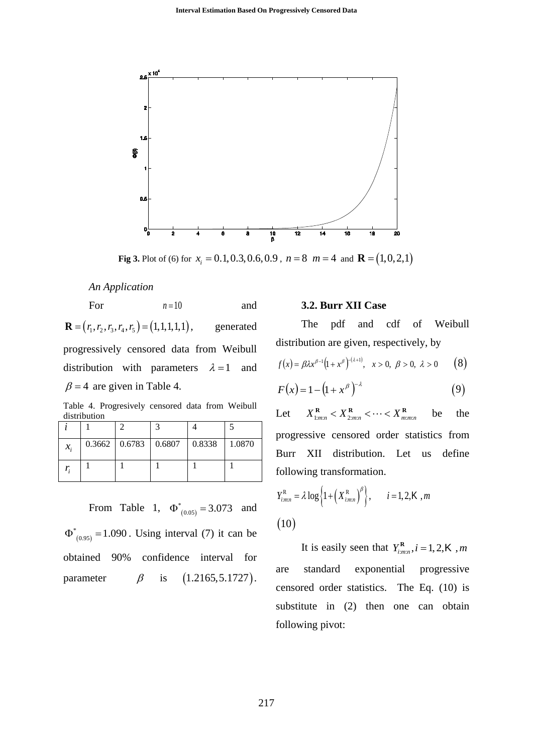

**Fig 3.** Plot of (6) for  $x_i = 0.1, 0.3, 0.6, 0.9$ ,  $n = 8$   $m = 4$  and  $\mathbf{R} = (1, 0, 2, 1)$ 

*An Application*

For  $n=10$  and  $\mathbf{R} = (r_1, r_2, r_3, r_4, r_5) = (1, 1, 1, 1, 1),$  generated

progressively censored data from Weibull distribution with parameters  $\lambda = 1$  and  $\beta$  = 4 are given in Table 4.

Table 4. Progresively censored data from Weibull distribution

| $\mathcal{X}_i$ |  | $0.3662$   0.6783   0.6807   0.8338   1.0870 |  |
|-----------------|--|----------------------------------------------|--|
|                 |  |                                              |  |

From Table 1,  $\Phi^*_{(0.05)} = 3.073$  and  $(0.95)$  $\Phi^*_{(0.95)} = 1.090$ . Using interval (7) it can be obtained 90% confidence interval for parameter  $\beta$  is  $(1.2165, 5.1727)$ .

#### **3.2. Burr XII Case**

The pdf and cdf of Weibull distribution are given, respectively, by

$$
f(x) = \beta \lambda x^{\beta - 1} (1 + x^{\beta})^{(\lambda + 1)}, \quad x > 0, \ \beta > 0, \ \lambda > 0 \qquad \textbf{(8)}
$$

$$
F(x) = 1 - (1 + x^{\beta})^{-\lambda}
$$
 (9)

Let  $X_{1:m:n}^{\mathbf{R}} < X_{2:m:n}^{\mathbf{R}} < \cdots < X_{m:m:n}^{\mathbf{R}}$  be the progressive censored order statistics from Burr XII distribution. Let us define following transformation.

$$
Y_{i_{mnn}}^{R} = \lambda \log \left\{ 1 + \left( X_{i_{mnn}}^{R} \right)^{\beta} \right\}, \qquad i = 1, 2, K, m
$$
  
(10)

It is easily seen that  $Y_{i,m:n}^{\mathbf{R}}$ ,  $i = 1, 2, \mathbf{K}$ ,  $m$ are standard exponential progressive censored order statistics. The Eq. (10) is substitute in (2) then one can obtain following pivot: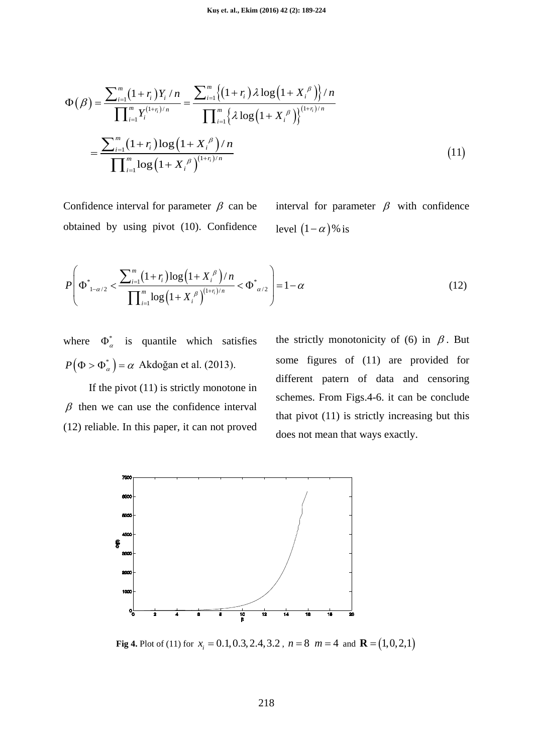$$
\Phi(\beta) = \frac{\sum_{i=1}^{m} (1+r_i) Y_i / n}{\prod_{i=1}^{m} Y_i^{(1+r_i)/n}} = \frac{\sum_{i=1}^{m} \{(1+r_i) \lambda \log (1+X_i^{\beta})\} / n}{\prod_{i=1}^{m} \{\lambda \log (1+X_i^{\beta})\}^{(1+r_i)/n}}
$$

$$
= \frac{\sum_{i=1}^{m} (1+r_i) \log (1+X_i^{\beta}) / n}{\prod_{i=1}^{m} \log (1+X_i^{\beta})^{(1+r_i)/n}}
$$
(11)

Confidence interval for parameter  $\beta$  can be obtained by using pivot (10). Confidence interval for parameter  $\beta$  with confidence level  $(1 - \alpha)$ % is

$$
P\left(\Phi_{1-\alpha/2}^* < \frac{\sum_{i=1}^m (1+r_i)\log(1+X_i)^{\beta}}{\prod_{i=1}^m \log(1+X_i)^{\beta}}\right)^{1+n} < \Phi_{\alpha/2}^*\right) = 1-\alpha
$$
\n(12)

where  $\Phi_{\alpha}^*$  is quantile which satisfies  $P(\Phi > \Phi_{\alpha}^*) = \alpha$  Akdoğan et al. (2013).

If the pivot (11) is strictly monotone in  $\beta$  then we can use the confidence interval (12) reliable. In this paper, it can not proved the strictly monotonicity of (6) in  $\beta$ . But some figures of (11) are provided for different patern of data and censoring schemes. From Figs.4-6. it can be conclude that pivot (11) is strictly increasing but this does not mean that ways exactly.



**Fig 4.** Plot of (11) for  $x_i = 0.1, 0.3, 2.4, 3.2$ ,  $n = 8$   $m = 4$  and  $\mathbf{R} = (1, 0, 2, 1)$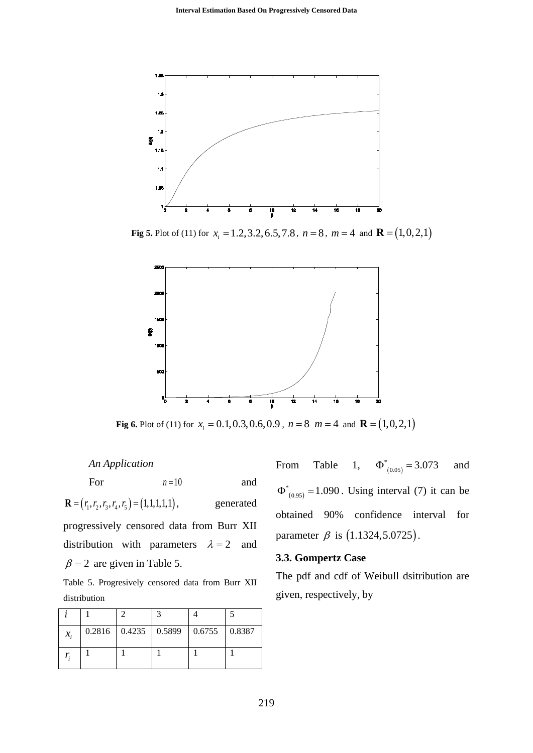

**Fig 5.** Plot of (11) for  $x_i = 1.2, 3.2, 6.5, 7.8$ ,  $n = 8$ ,  $m = 4$  and  $\mathbf{R} = (1, 0, 2, 1)$ 



**Fig 6.** Plot of (11) for  $x_i = 0.1, 0.3, 0.6, 0.9$ ,  $n = 8$   $m = 4$  and  $\mathbf{R} = (1, 0, 2, 1)$ 

*An Application*

For  $n=10$  and  $\mathbf{R} = (r_1, r_2, r_3, r_4, r_5) = (1, 1, 1, 1, 1),$  generated

progressively censored data from Burr XII distribution with parameters  $\lambda = 2$  and  $\beta = 2$  are given in Table 5.

Table 5. Progresively censored data from Burr XII distribution

| $\mathcal{X}_{1}$ |  | $0.2816$   0.4235   0.5899   0.6755   0.8387 |  |
|-------------------|--|----------------------------------------------|--|
|                   |  |                                              |  |

From Table 1,  $\Phi^*_{(0.05)} = 3.073$  and  $( 0.95)$  $\Phi^*_{(0.95)} = 1.090$ . Using interval (7) it can be obtained 90% confidence interval for parameter  $\beta$  is (1.1324, 5.0725).

#### **3.3. Gompertz Case**

The pdf and cdf of Weibull dsitribution are given, respectively, by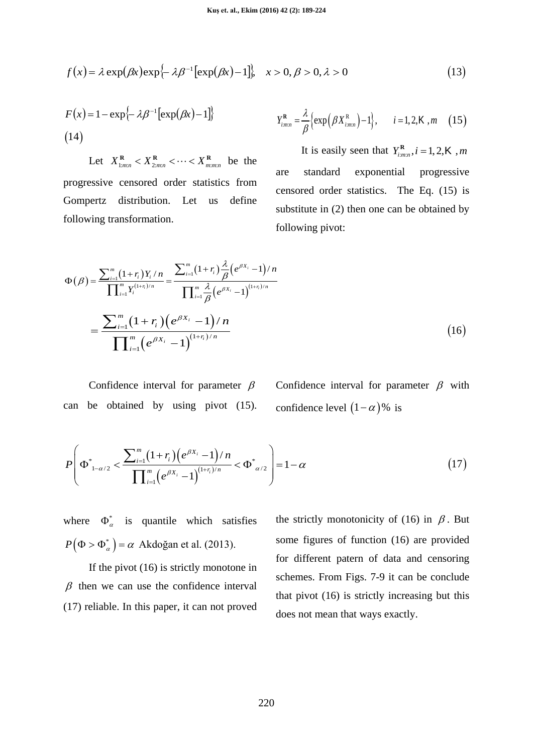$$
f(x) = \lambda \exp(\beta x) \exp\{-\lambda \beta^{-1} [\exp(\beta x) - 1] \}, \quad x > 0, \beta > 0, \lambda > 0 \tag{13}
$$

$$
F(x) = 1 - \exp\{-\lambda \beta^{-1} [\exp(\beta x) - 1] \}
$$
  
(14)  

$$
Y_{i_{m:n}}^{\mathbf{R}} = \frac{\lambda}{\beta} {\exp(\beta X_{i_{m:n}}^{\mathbf{R}})} - 1, \quad i = 1, 2, \mathbf{K}, m \quad (15)
$$

Let  $X_{1:m:n}^{\mathbf{R}} < X_{2:m:n}^{\mathbf{R}} < \cdots < X_{m:m:n}^{\mathbf{R}}$  be the progressive censored order statistics from Gompertz distribution. Let us define following transformation.

It is easily seen that 
$$
Y_{i,m,n}^R
$$
,  $i = 1, 2, K$ , *m*  
are standard exponential progressive  
censored order statistics. The Eq. (15) is  
substitute in (2) then one can be obtained by  
following pivot:

$$
\Phi(\beta) = \frac{\sum_{i=1}^{m} (1+r_i) Y_i / n}{\prod_{i=1}^{m} Y_i^{(1+r_i)/n}} = \frac{\sum_{i=1}^{m} (1+r_i) \frac{\lambda}{\beta} (e^{\beta X_i} - 1) / n}{\prod_{i=1}^{m} \frac{\lambda}{\beta} (e^{\beta X_i} - 1)^{(1+r_i)/n}}
$$
\n
$$
= \frac{\sum_{i=1}^{m} (1+r_i) (e^{\beta X_i} - 1) / n}{\prod_{i=1}^{m} (e^{\beta X_i} - 1)^{(1+r_i)/n}}
$$
\n(16)

Confidence interval for parameter  $\beta$ can be obtained by using pivot (15).

Confidence interval for parameter  $\beta$  with confidence level  $(1 - \alpha)$ % is

$$
P\left(\Phi^*_{1-\alpha/2} < \frac{\sum_{i=1}^m (1+r_i)(e^{\beta X_i} - 1)/n}{\prod_{i=1}^m (e^{\beta X_i} - 1)^{(1+r_i)/n}} < \Phi^*_{\alpha/2}\right) = 1 - \alpha \tag{17}
$$

where  $\Phi_{\alpha}^*$  is quantile which satisfies  $P(\Phi > \Phi_{\alpha}^*) = \alpha$  Akdoğan et al. (2013).

If the pivot (16) is strictly monotone in  $\beta$  then we can use the confidence interval (17) reliable. In this paper, it can not proved the strictly monotonicity of (16) in  $\beta$ . But some figures of function (16) are provided for different patern of data and censoring schemes. From Figs. 7-9 it can be conclude that pivot (16) is strictly increasing but this does not mean that ways exactly.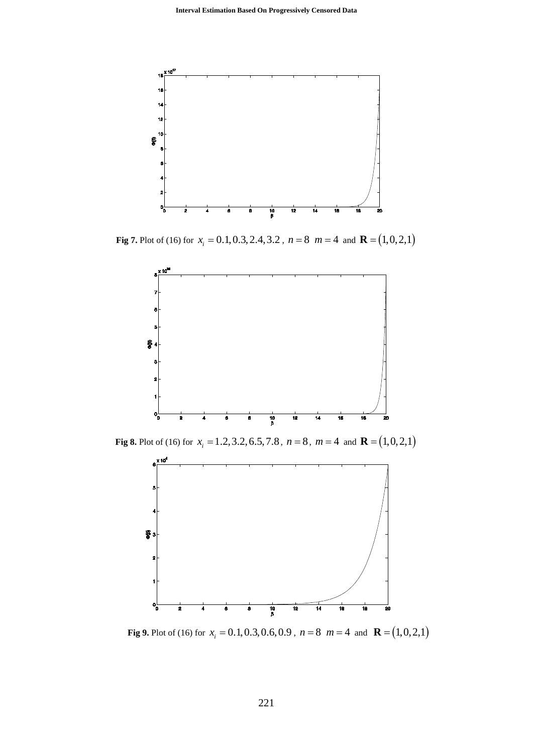

**Fig 7.** Plot of (16) for  $x_i = 0.1, 0.3, 2.4, 3.2$ ,  $n = 8$   $m = 4$  and  $\mathbf{R} = (1, 0, 2, 1)$ 



**Fig 8.** Plot of (16) for  $x_i = 1.2, 3.2, 6.5, 7.8$ ,  $n = 8$ ,  $m = 4$  and  $\mathbf{R} = (1, 0, 2, 1)$ 



**Fig 9.** Plot of (16) for  $x_i = 0.1, 0.3, 0.6, 0.9$ ,  $n = 8$   $m = 4$  and  $\mathbf{R} = (1, 0, 2, 1)$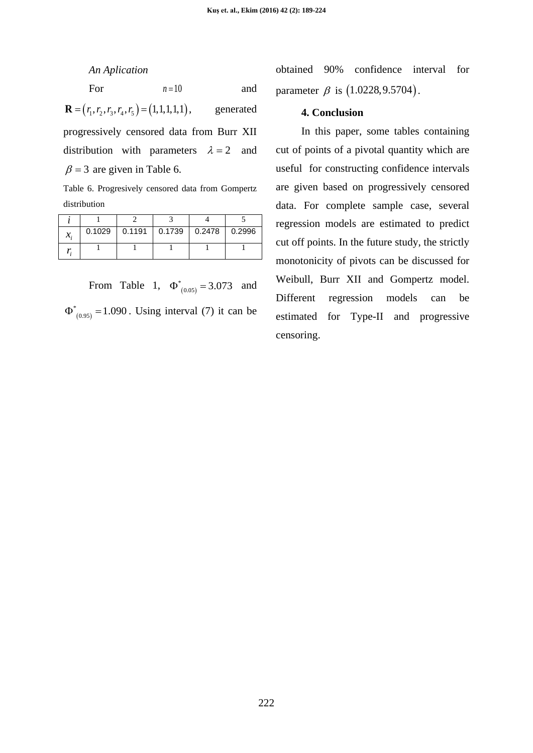*An Aplication*

For 
$$
n=10
$$
 and

 $\mathbf{R} = (r_1, r_2, r_3, r_4, r_5) = (1, 1, 1, 1, 1),$  generated

progressively censored data from Burr XII distribution with parameters  $\lambda = 2$  and  $\beta$  = 3 are given in Table 6.

Table 6. Progresively censored data from Gompertz distribution

| л. |  | $0.1029$   0.1191   0.1739   0.2478   0.2996 |  |
|----|--|----------------------------------------------|--|
|    |  |                                              |  |

From Table 1,  $\Phi^*_{(0.05)} = 3.073$  and  $( 0.95)$  $\Phi^*_{(0.95)} = 1.090$ . Using interval (7) it can be obtained 90% confidence interval for parameter  $\beta$  is  $(1.0228, 9.5704)$ .

### **4. Conclusion**

In this paper, some tables containing cut of points of a pivotal quantity which are useful for constructing confidence intervals are given based on progressively censored data. For complete sample case, several regression models are estimated to predict cut off points. In the future study, the strictly monotonicity of pivots can be discussed for Weibull, Burr XII and Gompertz model. Different regression models can be estimated for Type-II and progressive censoring.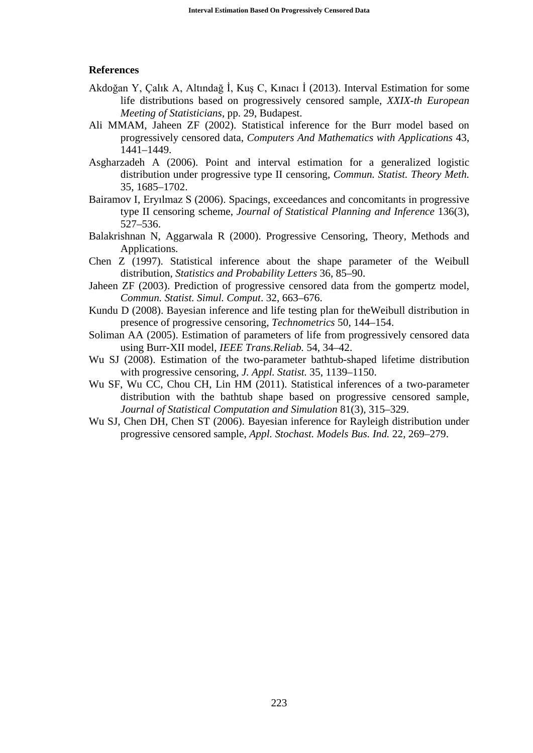#### **References**

- Akdoğan Y, Çalık A, Altındağ İ, Kuş C, Kınacı İ (2013). Interval Estimation for some life distributions based on progressively censored sample, *XXIX-th European Meeting of Statisticians*, pp. 29, Budapest.
- Ali MMAM, Jaheen ZF (2002). Statistical inference for the Burr model based on progressively censored data, *Computers And Mathematics with Applications* 43, 1441–1449.
- Asgharzadeh A (2006). Point and interval estimation for a generalized logistic distribution under progressive type II censoring, *Commun. Statist. Theory Meth.* 35, 1685–1702.
- Bairamov I, Eryılmaz S (2006). Spacings, exceedances and concomitants in progressive type II censoring scheme, *Journal of Statistical Planning and Inference* 136(3), 527–536.
- Balakrishnan N, Aggarwala R (2000). Progressive Censoring, Theory, Methods and Applications.
- Chen Z (1997). Statistical inference about the shape parameter of the Weibull distribution, *Statistics and Probability Letters* 36, 85–90.
- Jaheen ZF (2003). Prediction of progressive censored data from the gompertz model, *Commun. Statist. Simul. Comput*. 32, 663–676.
- Kundu D (2008). Bayesian inference and life testing plan for theWeibull distribution in presence of progressive censoring, *Technometrics* 50, 144–154.
- Soliman AA (2005). Estimation of parameters of life from progressively censored data using Burr-XII model, *IEEE Trans.Reliab.* 54, 34–42.
- Wu SJ (2008). Estimation of the two-parameter bathtub-shaped lifetime distribution with progressive censoring, *J. Appl. Statist.* 35, 1139–1150.
- Wu SF, Wu CC, Chou CH, Lin HM (2011). Statistical inferences of a two-parameter distribution with the bathtub shape based on progressive censored sample, *Journal of Statistical Computation and Simulation* 81(3), 315–329.
- Wu SJ, Chen DH, Chen ST (2006). Bayesian inference for Rayleigh distribution under progressive censored sample, *Appl. Stochast. Models Bus. Ind.* 22, 269–279.